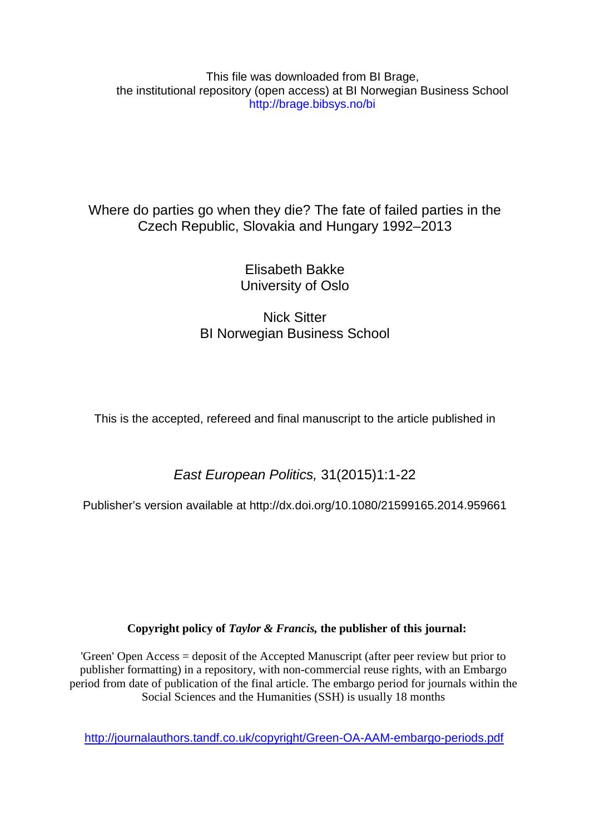This file was downloaded from BI Brage, the institutional repository (open access) at BI Norwegian Business School http://brage.bibsys.no/bi

Where do parties go when they die? The fate of failed parties in the Czech Republic, Slovakia and Hungary 1992–2013

> Elisabeth Bakke University of Oslo

Nick Sitter BI Norwegian Business School

This is the accepted, refereed and final manuscript to the article published in

*East European Politics,* 31(2015)1:1-22

Publisher's version available at http://dx.doi.org/10.1080/21599165.2014.959661

## **Copyright policy of** *Taylor & Francis,* **the publisher of this journal:**

'Green' Open Access = deposit of the Accepted Manuscript (after peer review but prior to publisher formatting) in a repository, with non-commercial reuse rights, with an Embargo period from date of publication of the final article. The embargo period for journals within the Social Sciences and the Humanities (SSH) is usually 18 months

<http://journalauthors.tandf.co.uk/copyright/Green-OA-AAM-embargo-periods.pdf>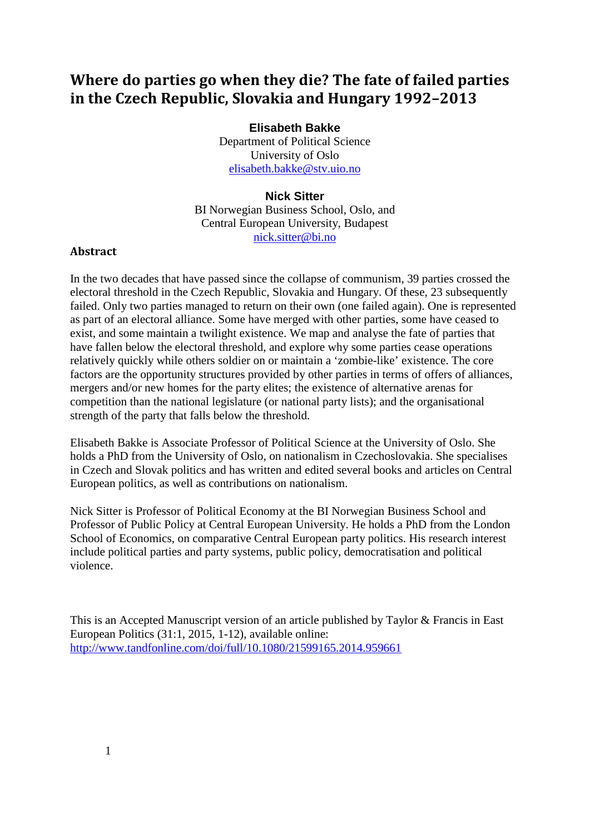# **Where do parties go when they die? The fate of failed parties in the Czech Republic, Slovakia and Hungary 1992–2013**

#### **Elisabeth Bakke**

Department of Political Science University of Oslo [elisabeth.bakke@stv.uio.no](mailto:elisabeth.bakke@stv.uio.no)

#### **Nick Sitter**

BI Norwegian Business School, Oslo, and Central European University, Budapest [nick.sitter@bi.no](mailto:nick.sitter@bi.no)

#### **Abstract**

In the two decades that have passed since the collapse of communism, 39 parties crossed the electoral threshold in the Czech Republic, Slovakia and Hungary. Of these, 23 subsequently failed. Only two parties managed to return on their own (one failed again). One is represented as part of an electoral alliance. Some have merged with other parties, some have ceased to exist, and some maintain a twilight existence. We map and analyse the fate of parties that have fallen below the electoral threshold, and explore why some parties cease operations relatively quickly while others soldier on or maintain a 'zombie-like' existence. The core factors are the opportunity structures provided by other parties in terms of offers of alliances, mergers and/or new homes for the party elites; the existence of alternative arenas for competition than the national legislature (or national party lists); and the organisational strength of the party that falls below the threshold.

Elisabeth Bakke is Associate Professor of Political Science at the University of Oslo. She holds a PhD from the University of Oslo, on nationalism in Czechoslovakia. She specialises in Czech and Slovak politics and has written and edited several books and articles on Central European politics, as well as contributions on nationalism.

Nick Sitter is Professor of Political Economy at the BI Norwegian Business School and Professor of Public Policy at Central European University. He holds a PhD from the London School of Economics, on comparative Central European party politics. His research interest include political parties and party systems, public policy, democratisation and political violence.

This is an Accepted Manuscript version of an article published by Taylor & Francis in East European Politics (31:1, 2015, 1-12), available online: <http://www.tandfonline.com/doi/full/10.1080/21599165.2014.959661>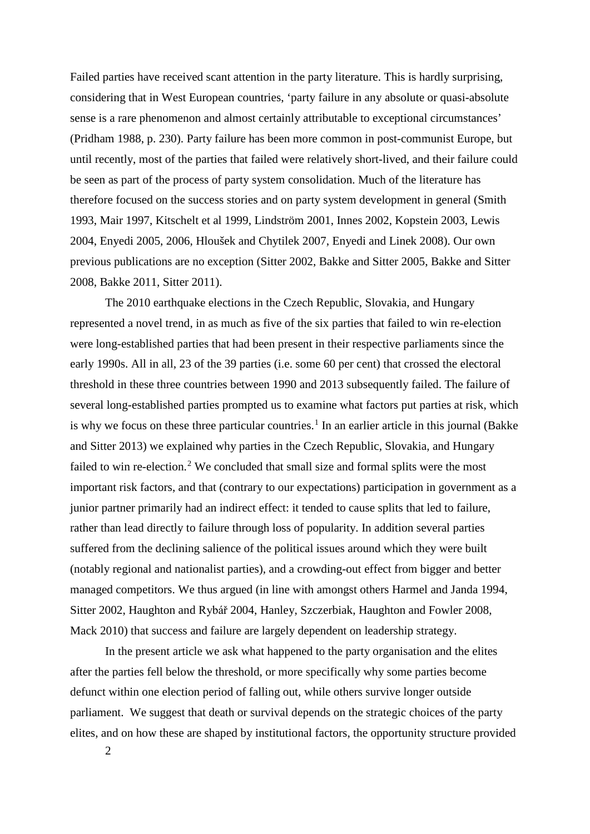Failed parties have received scant attention in the party literature. This is hardly surprising, considering that in West European countries, 'party failure in any absolute or quasi-absolute sense is a rare phenomenon and almost certainly attributable to exceptional circumstances' (Pridham 1988, p. 230). Party failure has been more common in post-communist Europe, but until recently, most of the parties that failed were relatively short-lived, and their failure could be seen as part of the process of party system consolidation. Much of the literature has therefore focused on the success stories and on party system development in general (Smith 1993, Mair 1997, Kitschelt et al 1999, Lindström 2001, Innes 2002, Kopstein 2003, Lewis 2004, Enyedi 2005, 2006, Hloušek and Chytilek 2007, Enyedi and Linek 2008). Our own previous publications are no exception (Sitter 2002, Bakke and Sitter 2005, Bakke and Sitter 2008, Bakke 2011, Sitter 2011).

The 2010 earthquake elections in the Czech Republic, Slovakia, and Hungary represented a novel trend, in as much as five of the six parties that failed to win re-election were long-established parties that had been present in their respective parliaments since the early 1990s. All in all, 23 of the 39 parties (i.e. some 60 per cent) that crossed the electoral threshold in these three countries between 1990 and 2013 subsequently failed. The failure of several long-established parties prompted us to examine what factors put parties at risk, which is why we focus on these three particular countries.<sup>[1](#page-30-0)</sup> In an earlier article in this journal (Bakke and Sitter 2013) we explained why parties in the Czech Republic, Slovakia, and Hungary failed to win re-election.<sup>[2](#page-30-1)</sup> We concluded that small size and formal splits were the most important risk factors, and that (contrary to our expectations) participation in government as a junior partner primarily had an indirect effect: it tended to cause splits that led to failure, rather than lead directly to failure through loss of popularity. In addition several parties suffered from the declining salience of the political issues around which they were built (notably regional and nationalist parties), and a crowding-out effect from bigger and better managed competitors. We thus argued (in line with amongst others Harmel and Janda 1994, Sitter 2002, Haughton and Rybář 2004, Hanley, Szczerbiak, Haughton and Fowler 2008, Mack 2010) that success and failure are largely dependent on leadership strategy.

In the present article we ask what happened to the party organisation and the elites after the parties fell below the threshold, or more specifically why some parties become defunct within one election period of falling out, while others survive longer outside parliament. We suggest that death or survival depends on the strategic choices of the party elites, and on how these are shaped by institutional factors, the opportunity structure provided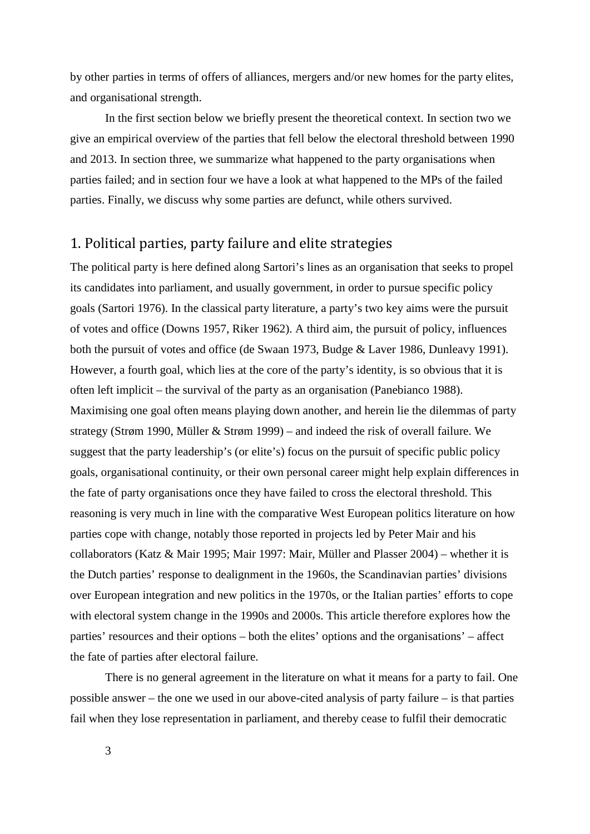by other parties in terms of offers of alliances, mergers and/or new homes for the party elites, and organisational strength.

In the first section below we briefly present the theoretical context. In section two we give an empirical overview of the parties that fell below the electoral threshold between 1990 and 2013. In section three, we summarize what happened to the party organisations when parties failed; and in section four we have a look at what happened to the MPs of the failed parties. Finally, we discuss why some parties are defunct, while others survived.

## 1. Political parties, party failure and elite strategies

The political party is here defined along Sartori's lines as an organisation that seeks to propel its candidates into parliament, and usually government, in order to pursue specific policy goals (Sartori 1976). In the classical party literature, a party's two key aims were the pursuit of votes and office (Downs 1957, Riker 1962). A third aim, the pursuit of policy, influences both the pursuit of votes and office (de Swaan 1973, Budge & Laver 1986, Dunleavy 1991). However, a fourth goal, which lies at the core of the party's identity, is so obvious that it is often left implicit – the survival of the party as an organisation (Panebianco 1988). Maximising one goal often means playing down another, and herein lie the dilemmas of party strategy (Strøm 1990, Müller & Strøm 1999) – and indeed the risk of overall failure. We suggest that the party leadership's (or elite's) focus on the pursuit of specific public policy goals, organisational continuity, or their own personal career might help explain differences in the fate of party organisations once they have failed to cross the electoral threshold. This reasoning is very much in line with the comparative West European politics literature on how parties cope with change, notably those reported in projects led by Peter Mair and his collaborators (Katz & Mair 1995; Mair 1997: Mair, Müller and Plasser 2004) – whether it is the Dutch parties' response to dealignment in the 1960s, the Scandinavian parties' divisions over European integration and new politics in the 1970s, or the Italian parties' efforts to cope with electoral system change in the 1990s and 2000s. This article therefore explores how the parties' resources and their options – both the elites' options and the organisations' – affect the fate of parties after electoral failure.

There is no general agreement in the literature on what it means for a party to fail. One possible answer – the one we used in our above-cited analysis of party failure – is that parties fail when they lose representation in parliament, and thereby cease to fulfil their democratic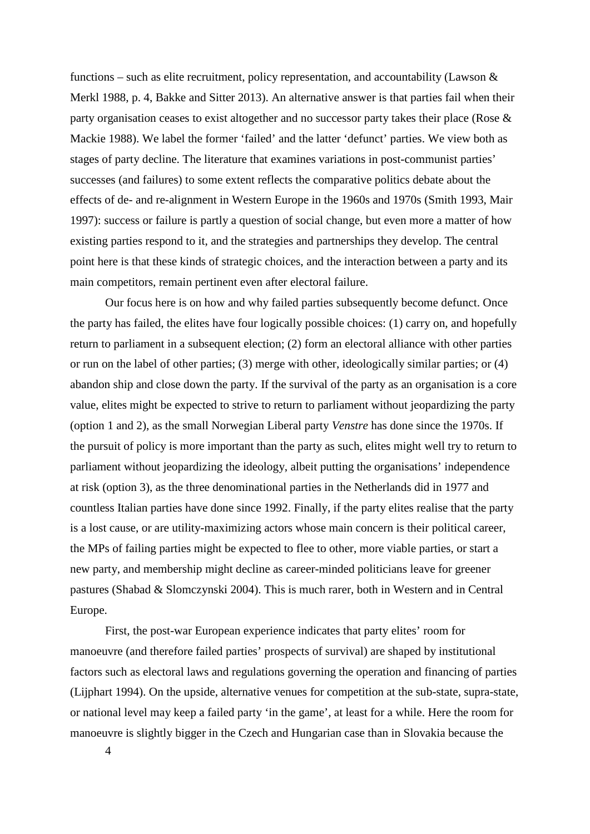functions – such as elite recruitment, policy representation, and accountability (Lawson  $\&$ Merkl 1988, p. 4, Bakke and Sitter 2013). An alternative answer is that parties fail when their party organisation ceases to exist altogether and no successor party takes their place (Rose & Mackie 1988). We label the former 'failed' and the latter 'defunct' parties. We view both as stages of party decline. The literature that examines variations in post-communist parties' successes (and failures) to some extent reflects the comparative politics debate about the effects of de- and re-alignment in Western Europe in the 1960s and 1970s (Smith 1993, Mair 1997): success or failure is partly a question of social change, but even more a matter of how existing parties respond to it, and the strategies and partnerships they develop. The central point here is that these kinds of strategic choices, and the interaction between a party and its main competitors, remain pertinent even after electoral failure.

Our focus here is on how and why failed parties subsequently become defunct. Once the party has failed, the elites have four logically possible choices: (1) carry on, and hopefully return to parliament in a subsequent election; (2) form an electoral alliance with other parties or run on the label of other parties; (3) merge with other, ideologically similar parties; or (4) abandon ship and close down the party. If the survival of the party as an organisation is a core value, elites might be expected to strive to return to parliament without jeopardizing the party (option 1 and 2), as the small Norwegian Liberal party *Venstre* has done since the 1970s. If the pursuit of policy is more important than the party as such, elites might well try to return to parliament without jeopardizing the ideology, albeit putting the organisations' independence at risk (option 3), as the three denominational parties in the Netherlands did in 1977 and countless Italian parties have done since 1992. Finally, if the party elites realise that the party is a lost cause, or are utility-maximizing actors whose main concern is their political career, the MPs of failing parties might be expected to flee to other, more viable parties, or start a new party, and membership might decline as career-minded politicians leave for greener pastures (Shabad & Slomczynski 2004). This is much rarer, both in Western and in Central Europe.

First, the post-war European experience indicates that party elites' room for manoeuvre (and therefore failed parties' prospects of survival) are shaped by institutional factors such as electoral laws and regulations governing the operation and financing of parties (Lijphart 1994). On the upside, alternative venues for competition at the sub-state, supra-state, or national level may keep a failed party 'in the game', at least for a while. Here the room for manoeuvre is slightly bigger in the Czech and Hungarian case than in Slovakia because the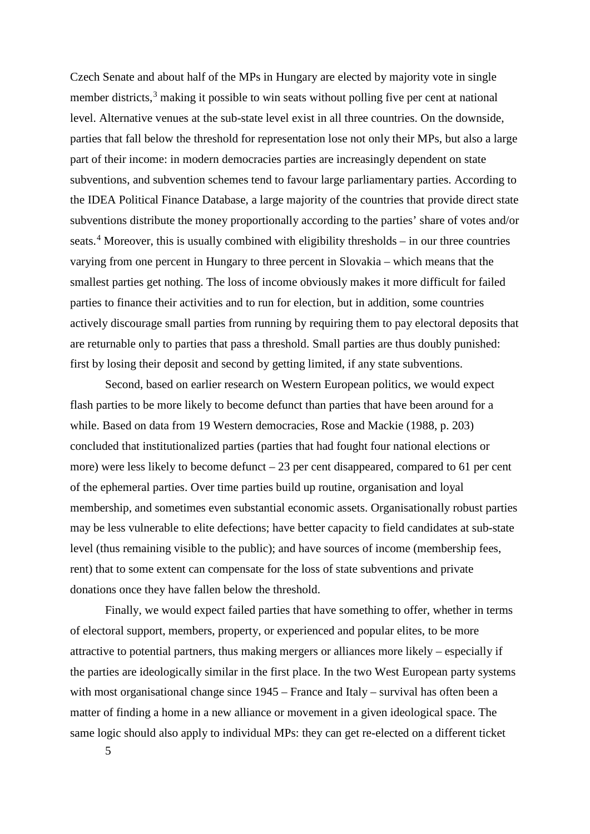Czech Senate and about half of the MPs in Hungary are elected by majority vote in single member districts, $3$  making it possible to win seats without polling five per cent at national level. Alternative venues at the sub-state level exist in all three countries. On the downside, parties that fall below the threshold for representation lose not only their MPs, but also a large part of their income: in modern democracies parties are increasingly dependent on state subventions, and subvention schemes tend to favour large parliamentary parties. According to the IDEA Political Finance Database, a large majority of the countries that provide direct state subventions distribute the money proportionally according to the parties' share of votes and/or seats.<sup>[4](#page-31-1)</sup> Moreover, this is usually combined with eligibility thresholds – in our three countries varying from one percent in Hungary to three percent in Slovakia – which means that the smallest parties get nothing. The loss of income obviously makes it more difficult for failed parties to finance their activities and to run for election, but in addition, some countries actively discourage small parties from running by requiring them to pay electoral deposits that are returnable only to parties that pass a threshold. Small parties are thus doubly punished: first by losing their deposit and second by getting limited, if any state subventions.

Second, based on earlier research on Western European politics, we would expect flash parties to be more likely to become defunct than parties that have been around for a while. Based on data from 19 Western democracies, Rose and Mackie (1988, p. 203) concluded that institutionalized parties (parties that had fought four national elections or more) were less likely to become defunct – 23 per cent disappeared, compared to 61 per cent of the ephemeral parties. Over time parties build up routine, organisation and loyal membership, and sometimes even substantial economic assets. Organisationally robust parties may be less vulnerable to elite defections; have better capacity to field candidates at sub-state level (thus remaining visible to the public); and have sources of income (membership fees, rent) that to some extent can compensate for the loss of state subventions and private donations once they have fallen below the threshold.

Finally, we would expect failed parties that have something to offer, whether in terms of electoral support, members, property, or experienced and popular elites, to be more attractive to potential partners, thus making mergers or alliances more likely – especially if the parties are ideologically similar in the first place. In the two West European party systems with most organisational change since 1945 – France and Italy – survival has often been a matter of finding a home in a new alliance or movement in a given ideological space. The same logic should also apply to individual MPs: they can get re-elected on a different ticket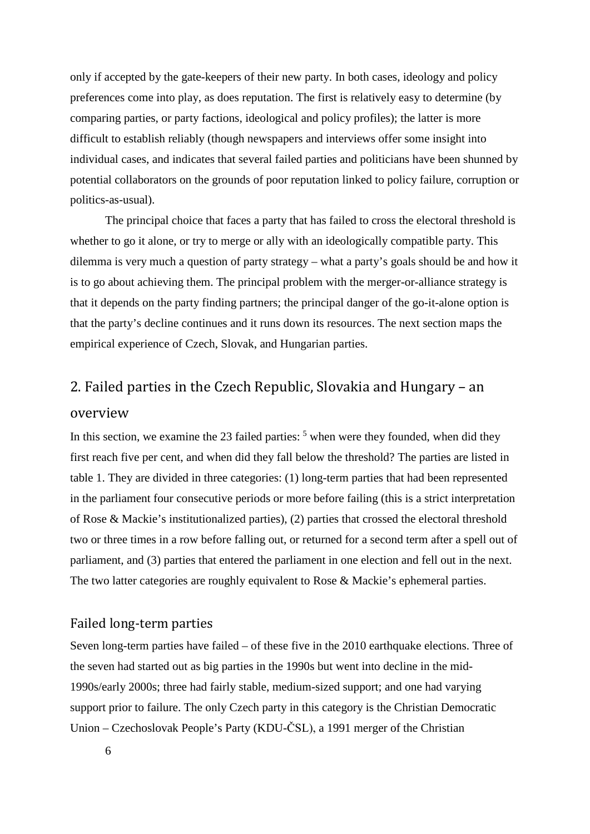only if accepted by the gate-keepers of their new party. In both cases, ideology and policy preferences come into play, as does reputation. The first is relatively easy to determine (by comparing parties, or party factions, ideological and policy profiles); the latter is more difficult to establish reliably (though newspapers and interviews offer some insight into individual cases, and indicates that several failed parties and politicians have been shunned by potential collaborators on the grounds of poor reputation linked to policy failure, corruption or politics-as-usual).

The principal choice that faces a party that has failed to cross the electoral threshold is whether to go it alone, or try to merge or ally with an ideologically compatible party. This dilemma is very much a question of party strategy – what a party's goals should be and how it is to go about achieving them. The principal problem with the merger-or-alliance strategy is that it depends on the party finding partners; the principal danger of the go-it-alone option is that the party's decline continues and it runs down its resources. The next section maps the empirical experience of Czech, Slovak, and Hungarian parties.

# 2. Failed parties in the Czech Republic, Slovakia and Hungary – an overview

In this section, we examine the 23 failed parties: <sup>[5](#page-31-2)</sup> when were they founded, when did they first reach five per cent, and when did they fall below the threshold? The parties are listed in table 1. They are divided in three categories: (1) long-term parties that had been represented in the parliament four consecutive periods or more before failing (this is a strict interpretation of Rose & Mackie's institutionalized parties), (2) parties that crossed the electoral threshold two or three times in a row before falling out, or returned for a second term after a spell out of parliament, and (3) parties that entered the parliament in one election and fell out in the next. The two latter categories are roughly equivalent to Rose & Mackie's ephemeral parties.

### Failed long-term parties

Seven long-term parties have failed – of these five in the 2010 earthquake elections. Three of the seven had started out as big parties in the 1990s but went into decline in the mid-1990s/early 2000s; three had fairly stable, medium-sized support; and one had varying support prior to failure. The only Czech party in this category is the Christian Democratic Union – Czechoslovak People's Party (KDU-ČSL), a 1991 merger of the Christian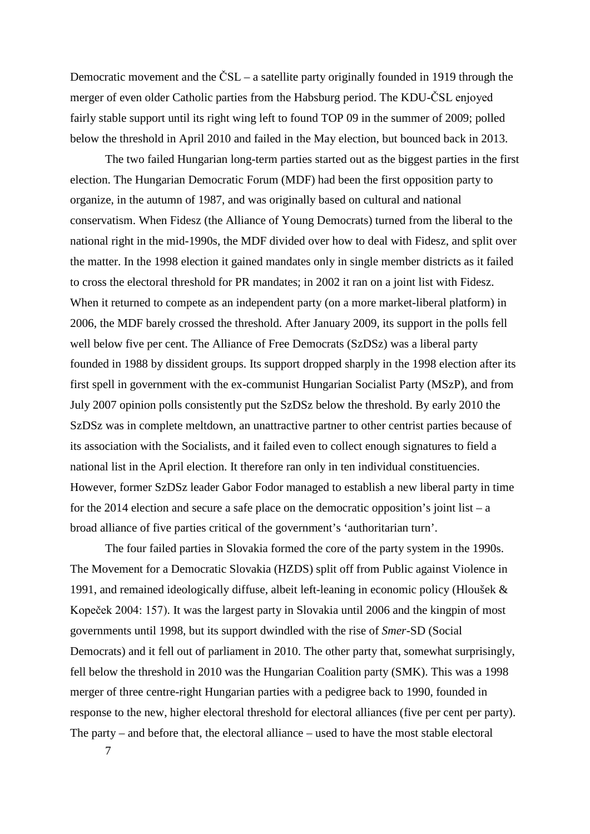Democratic movement and the  $\text{CSL}-a$  satellite party originally founded in 1919 through the merger of even older Catholic parties from the Habsburg period. The KDU-ČSL enjoyed fairly stable support until its right wing left to found TOP 09 in the summer of 2009; polled below the threshold in April 2010 and failed in the May election, but bounced back in 2013.

The two failed Hungarian long-term parties started out as the biggest parties in the first election. The Hungarian Democratic Forum (MDF) had been the first opposition party to organize, in the autumn of 1987, and was originally based on cultural and national conservatism. When Fidesz (the Alliance of Young Democrats) turned from the liberal to the national right in the mid-1990s, the MDF divided over how to deal with Fidesz, and split over the matter. In the 1998 election it gained mandates only in single member districts as it failed to cross the electoral threshold for PR mandates; in 2002 it ran on a joint list with Fidesz. When it returned to compete as an independent party (on a more market-liberal platform) in 2006, the MDF barely crossed the threshold. After January 2009, its support in the polls fell well below five per cent. The Alliance of Free Democrats (SzDSz) was a liberal party founded in 1988 by dissident groups. Its support dropped sharply in the 1998 election after its first spell in government with the ex-communist Hungarian Socialist Party (MSzP), and from July 2007 opinion polls consistently put the SzDSz below the threshold. By early 2010 the SzDSz was in complete meltdown, an unattractive partner to other centrist parties because of its association with the Socialists, and it failed even to collect enough signatures to field a national list in the April election. It therefore ran only in ten individual constituencies. However, former SzDSz leader Gabor Fodor managed to establish a new liberal party in time for the 2014 election and secure a safe place on the democratic opposition's joint list – a broad alliance of five parties critical of the government's 'authoritarian turn'.

The four failed parties in Slovakia formed the core of the party system in the 1990s. The Movement for a Democratic Slovakia (HZDS) split off from Public against Violence in 1991, and remained ideologically diffuse, albeit left-leaning in economic policy (Hloušek & Kopeček 2004: 157). It was the largest party in Slovakia until 2006 and the kingpin of most governments until 1998, but its support dwindled with the rise of *Smer*-SD (Social Democrats) and it fell out of parliament in 2010. The other party that, somewhat surprisingly, fell below the threshold in 2010 was the Hungarian Coalition party (SMK). This was a 1998 merger of three centre-right Hungarian parties with a pedigree back to 1990, founded in response to the new, higher electoral threshold for electoral alliances (five per cent per party). The party – and before that, the electoral alliance – used to have the most stable electoral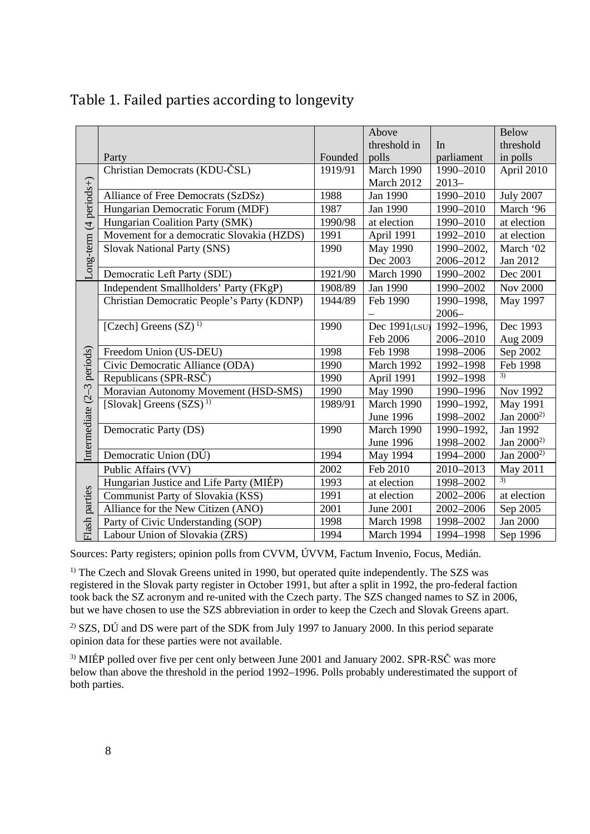|                        |                                            |         | Above           |            | <b>Below</b>     |
|------------------------|--------------------------------------------|---------|-----------------|------------|------------------|
|                        |                                            |         | threshold in    | In         | threshold        |
|                        | Party                                      | Founded | polls           | parliament | in polls         |
|                        | Christian Democrats (KDU-ČSL)              | 1919/91 | March 1990      | 1990-2010  | April 2010       |
|                        |                                            |         | March 2012      | $2013-$    |                  |
| Long-term (4 periods+) | Alliance of Free Democrats (SzDSz)         | 1988    | Jan 1990        | 1990-2010  | <b>July 2007</b> |
|                        | Hungarian Democratic Forum (MDF)           | 1987    | Jan 1990        | 1990-2010  | March '96        |
|                        | Hungarian Coalition Party (SMK)            | 1990/98 | at election     | 1990-2010  | at election      |
|                        | Movement for a democratic Slovakia (HZDS)  | 1991    | April 1991      | 1992-2010  | at election      |
|                        | <b>Slovak National Party (SNS)</b>         | 1990    | <b>May 1990</b> | 1990-2002, | March '02        |
|                        |                                            |         | Dec 2003        | 2006-2012  | Jan 2012         |
|                        | Democratic Left Party (SDL)                | 1921/90 | March 1990      | 1990-2002  | Dec 2001         |
|                        | Independent Smallholders' Party (FKgP)     | 1908/89 | Jan 1990        | 1990-2002  | Nov 2000         |
|                        | Christian Democratic People's Party (KDNP) | 1944/89 | Feb 1990        | 1990-1998, | May 1997         |
|                        |                                            |         |                 | $2006 -$   |                  |
|                        | [Czech] Greens $(SZ)^{1}$                  | 1990    | Dec 1991(LSU)   | 1992-1996, | Dec 1993         |
|                        |                                            |         | Feb 2006        | 2006-2010  | Aug 2009         |
|                        | Freedom Union (US-DEU)                     | 1998    | Feb 1998        | 1998-2006  | Sep 2002         |
| periods)               | Civic Democratic Alliance (ODA)            | 1990    | March 1992      | 1992-1998  | Feb 1998         |
|                        | Republicans (SPR-RSČ)                      | 1990    | April 1991      | 1992-1998  | 3)               |
| Intermediate $(2-3)$   | Moravian Autonomy Movement (HSD-SMS)       | 1990    | <b>May 1990</b> | 1990-1996  | Nov 1992         |
|                        | [Slovak] Greens $(SZS)^{1}$                | 1989/91 | March 1990      | 1990-1992, | May 1991         |
|                        |                                            |         | June 1996       | 1998-2002  | Jan $2000^{2}$   |
|                        | Democratic Party (DS)                      | 1990    | March 1990      | 1990-1992, | Jan 1992         |
|                        |                                            |         | June 1996       | 1998-2002  | Jan $2000^{2}$   |
|                        | Democratic Union (DÚ)                      | 1994    | May 1994        | 1994-2000  | Jan $2000^{2}$   |
|                        | Public Affairs (VV)                        | 2002    | Feb 2010        | 2010-2013  | May 2011         |
|                        | Hungarian Justice and Life Party (MIÉP)    | 1993    | at election     | 1998-2002  | $\overline{3}$ ) |
|                        | Communist Party of Slovakia (KSS)          | 1991    | at election     | 2002-2006  | at election      |
| Flash parties          | Alliance for the New Citizen (ANO)         | 2001    | June 2001       | 2002-2006  | Sep 2005         |
|                        | Party of Civic Understanding (SOP)         | 1998    | March 1998      | 1998-2002  | Jan 2000         |
|                        | Labour Union of Slovakia (ZRS)             | 1994    | March 1994      | 1994-1998  | Sep 1996         |

# Table 1. Failed parties according to longevity

Sources: Party registers; opinion polls from CVVM, ÚVVM, Factum Invenio, Focus, Medián.

<sup>1)</sup> The Czech and Slovak Greens united in 1990, but operated quite independently. The SZS was registered in the Slovak party register in October 1991, but after a split in 1992, the pro-federal faction took back the SZ acronym and re-united with the Czech party. The SZS changed names to SZ in 2006, but we have chosen to use the SZS abbreviation in order to keep the Czech and Slovak Greens apart.

<sup>2)</sup> SZS, DÚ and DS were part of the SDK from July 1997 to January 2000. In this period separate opinion data for these parties were not available.

<sup>3)</sup> MIÉP polled over five per cent only between June 2001 and January 2002. SPR-RSČ was more below than above the threshold in the period 1992–1996. Polls probably underestimated the support of both parties.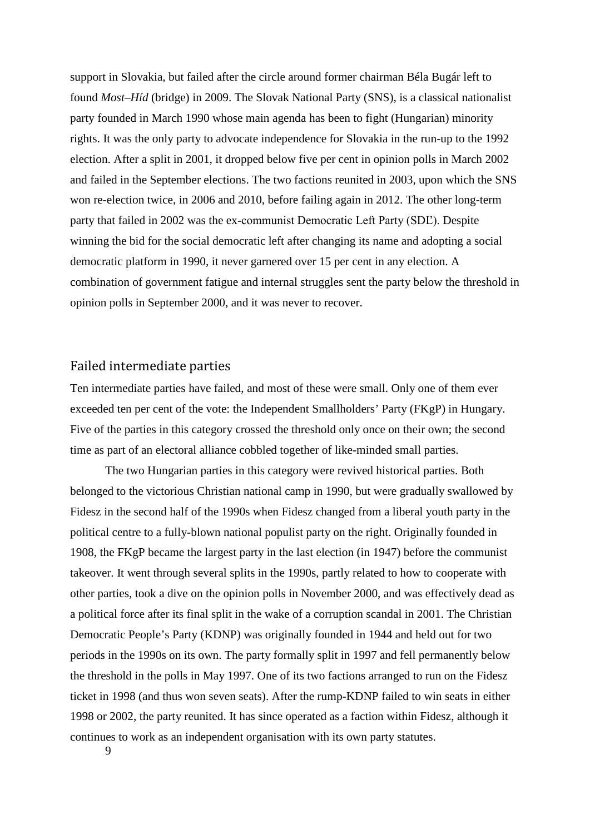support in Slovakia, but failed after the circle around former chairman Béla Bugár left to found *Most–Híd* (bridge) in 2009. The Slovak National Party (SNS), is a classical nationalist party founded in March 1990 whose main agenda has been to fight (Hungarian) minority rights. It was the only party to advocate independence for Slovakia in the run-up to the 1992 election. After a split in 2001, it dropped below five per cent in opinion polls in March 2002 and failed in the September elections. The two factions reunited in 2003, upon which the SNS won re-election twice, in 2006 and 2010, before failing again in 2012. The other long-term party that failed in 2002 was the ex-communist Democratic Left Party (SDĽ). Despite winning the bid for the social democratic left after changing its name and adopting a social democratic platform in 1990, it never garnered over 15 per cent in any election. A combination of government fatigue and internal struggles sent the party below the threshold in opinion polls in September 2000, and it was never to recover.

#### Failed intermediate parties

Ten intermediate parties have failed, and most of these were small. Only one of them ever exceeded ten per cent of the vote: the Independent Smallholders' Party (FKgP) in Hungary. Five of the parties in this category crossed the threshold only once on their own; the second time as part of an electoral alliance cobbled together of like-minded small parties.

The two Hungarian parties in this category were revived historical parties. Both belonged to the victorious Christian national camp in 1990, but were gradually swallowed by Fidesz in the second half of the 1990s when Fidesz changed from a liberal youth party in the political centre to a fully-blown national populist party on the right. Originally founded in 1908, the FKgP became the largest party in the last election (in 1947) before the communist takeover. It went through several splits in the 1990s, partly related to how to cooperate with other parties, took a dive on the opinion polls in November 2000, and was effectively dead as a political force after its final split in the wake of a corruption scandal in 2001. The Christian Democratic People's Party (KDNP) was originally founded in 1944 and held out for two periods in the 1990s on its own. The party formally split in 1997 and fell permanently below the threshold in the polls in May 1997. One of its two factions arranged to run on the Fidesz ticket in 1998 (and thus won seven seats). After the rump-KDNP failed to win seats in either 1998 or 2002, the party reunited. It has since operated as a faction within Fidesz, although it continues to work as an independent organisation with its own party statutes.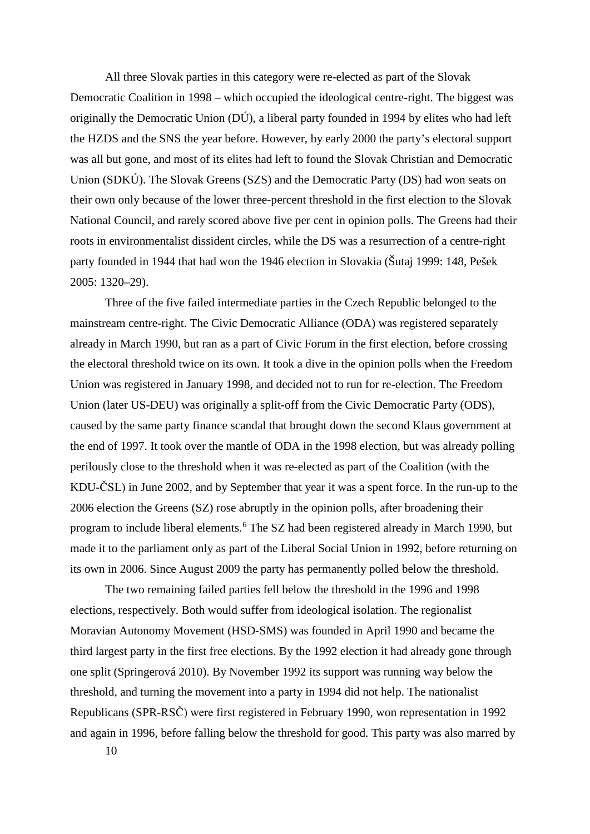All three Slovak parties in this category were re-elected as part of the Slovak Democratic Coalition in 1998 – which occupied the ideological centre-right. The biggest was originally the Democratic Union (DÚ), a liberal party founded in 1994 by elites who had left the HZDS and the SNS the year before. However, by early 2000 the party's electoral support was all but gone, and most of its elites had left to found the Slovak Christian and Democratic Union (SDKÚ). The Slovak Greens (SZS) and the Democratic Party (DS) had won seats on their own only because of the lower three-percent threshold in the first election to the Slovak National Council, and rarely scored above five per cent in opinion polls. The Greens had their roots in environmentalist dissident circles, while the DS was a resurrection of a centre-right party founded in 1944 that had won the 1946 election in Slovakia (Šutaj 1999: 148, Pešek 2005: 1320–29).

Three of the five failed intermediate parties in the Czech Republic belonged to the mainstream centre-right. The Civic Democratic Alliance (ODA) was registered separately already in March 1990, but ran as a part of Civic Forum in the first election, before crossing the electoral threshold twice on its own. It took a dive in the opinion polls when the Freedom Union was registered in January 1998, and decided not to run for re-election. The Freedom Union (later US-DEU) was originally a split-off from the Civic Democratic Party (ODS), caused by the same party finance scandal that brought down the second Klaus government at the end of 1997. It took over the mantle of ODA in the 1998 election, but was already polling perilously close to the threshold when it was re-elected as part of the Coalition (with the KDU-ČSL) in June 2002, and by September that year it was a spent force. In the run-up to the 2006 election the Greens (SZ) rose abruptly in the opinion polls, after broadening their program to include liberal elements.[6](#page-31-3) The SZ had been registered already in March 1990, but made it to the parliament only as part of the Liberal Social Union in 1992, before returning on its own in 2006. Since August 2009 the party has permanently polled below the threshold.

The two remaining failed parties fell below the threshold in the 1996 and 1998 elections, respectively. Both would suffer from ideological isolation. The regionalist Moravian Autonomy Movement (HSD-SMS) was founded in April 1990 and became the third largest party in the first free elections. By the 1992 election it had already gone through one split (Springerová 2010). By November 1992 its support was running way below the threshold, and turning the movement into a party in 1994 did not help. The nationalist Republicans (SPR-RSČ) were first registered in February 1990, won representation in 1992 and again in 1996, before falling below the threshold for good. This party was also marred by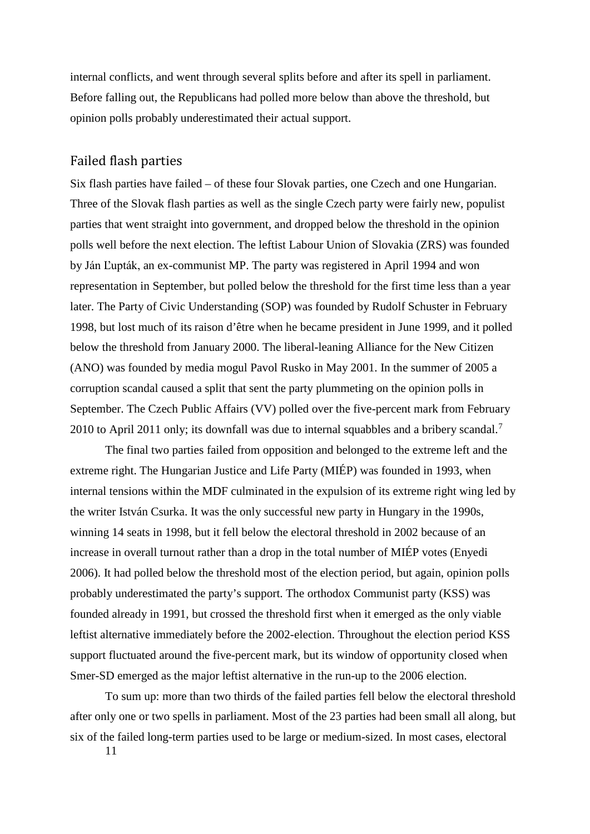internal conflicts, and went through several splits before and after its spell in parliament. Before falling out, the Republicans had polled more below than above the threshold, but opinion polls probably underestimated their actual support.

#### Failed flash parties

Six flash parties have failed – of these four Slovak parties, one Czech and one Hungarian. Three of the Slovak flash parties as well as the single Czech party were fairly new, populist parties that went straight into government, and dropped below the threshold in the opinion polls well before the next election. The leftist Labour Union of Slovakia (ZRS) was founded by Ján Ľupták, an ex-communist MP. The party was registered in April 1994 and won representation in September, but polled below the threshold for the first time less than a year later. The Party of Civic Understanding (SOP) was founded by Rudolf Schuster in February 1998, but lost much of its raison d'être when he became president in June 1999, and it polled below the threshold from January 2000. The liberal-leaning Alliance for the New Citizen (ANO) was founded by media mogul Pavol Rusko in May 2001. In the summer of 2005 a corruption scandal caused a split that sent the party plummeting on the opinion polls in September. The Czech Public Affairs (VV) polled over the five-percent mark from February 2010 to April 2011 only; its downfall was due to internal squabbles and a bribery scandal.<sup>[7](#page-31-4)</sup>

The final two parties failed from opposition and belonged to the extreme left and the extreme right. The Hungarian Justice and Life Party (MIÉP) was founded in 1993, when internal tensions within the MDF culminated in the expulsion of its extreme right wing led by the writer István Csurka. It was the only successful new party in Hungary in the 1990s, winning 14 seats in 1998, but it fell below the electoral threshold in 2002 because of an increase in overall turnout rather than a drop in the total number of MIÉP votes (Enyedi 2006). It had polled below the threshold most of the election period, but again, opinion polls probably underestimated the party's support. The orthodox Communist party (KSS) was founded already in 1991, but crossed the threshold first when it emerged as the only viable leftist alternative immediately before the 2002-election. Throughout the election period KSS support fluctuated around the five-percent mark, but its window of opportunity closed when Smer-SD emerged as the major leftist alternative in the run-up to the 2006 election.

To sum up: more than two thirds of the failed parties fell below the electoral threshold after only one or two spells in parliament. Most of the 23 parties had been small all along, but six of the failed long-term parties used to be large or medium-sized. In most cases, electoral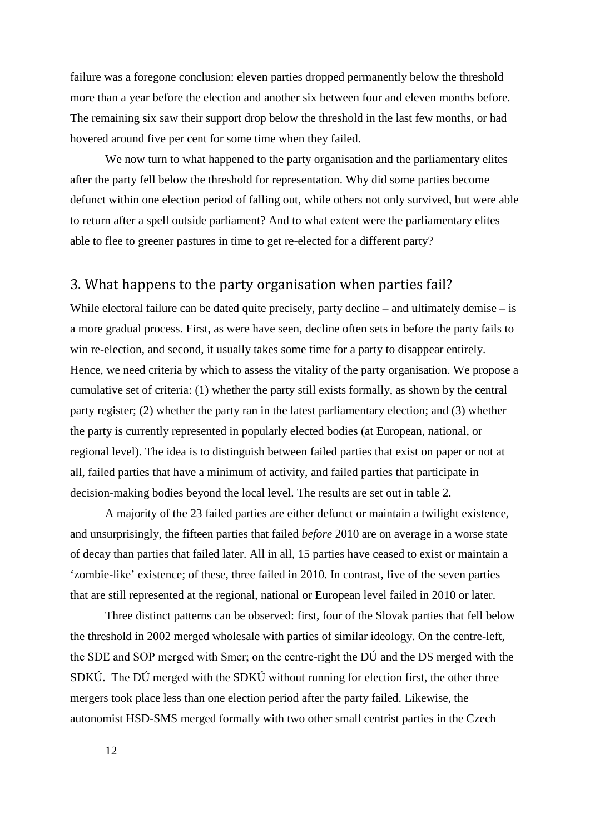failure was a foregone conclusion: eleven parties dropped permanently below the threshold more than a year before the election and another six between four and eleven months before. The remaining six saw their support drop below the threshold in the last few months, or had hovered around five per cent for some time when they failed.

We now turn to what happened to the party organisation and the parliamentary elites after the party fell below the threshold for representation. Why did some parties become defunct within one election period of falling out, while others not only survived, but were able to return after a spell outside parliament? And to what extent were the parliamentary elites able to flee to greener pastures in time to get re-elected for a different party?

### 3. What happens to the party organisation when parties fail?

While electoral failure can be dated quite precisely, party decline – and ultimately demise – is a more gradual process. First, as were have seen, decline often sets in before the party fails to win re-election, and second, it usually takes some time for a party to disappear entirely. Hence, we need criteria by which to assess the vitality of the party organisation. We propose a cumulative set of criteria: (1) whether the party still exists formally, as shown by the central party register; (2) whether the party ran in the latest parliamentary election; and (3) whether the party is currently represented in popularly elected bodies (at European, national, or regional level). The idea is to distinguish between failed parties that exist on paper or not at all, failed parties that have a minimum of activity, and failed parties that participate in decision-making bodies beyond the local level. The results are set out in table 2.

A majority of the 23 failed parties are either defunct or maintain a twilight existence, and unsurprisingly, the fifteen parties that failed *before* 2010 are on average in a worse state of decay than parties that failed later. All in all, 15 parties have ceased to exist or maintain a 'zombie-like' existence; of these, three failed in 2010. In contrast, five of the seven parties that are still represented at the regional, national or European level failed in 2010 or later.

Three distinct patterns can be observed: first, four of the Slovak parties that fell below the threshold in 2002 merged wholesale with parties of similar ideology. On the centre-left, the SDĽ and SOP merged with Smer; on the centre-right the DÚ and the DS merged with the SDKÚ. The DÚ merged with the SDKÚ without running for election first, the other three mergers took place less than one election period after the party failed. Likewise, the autonomist HSD-SMS merged formally with two other small centrist parties in the Czech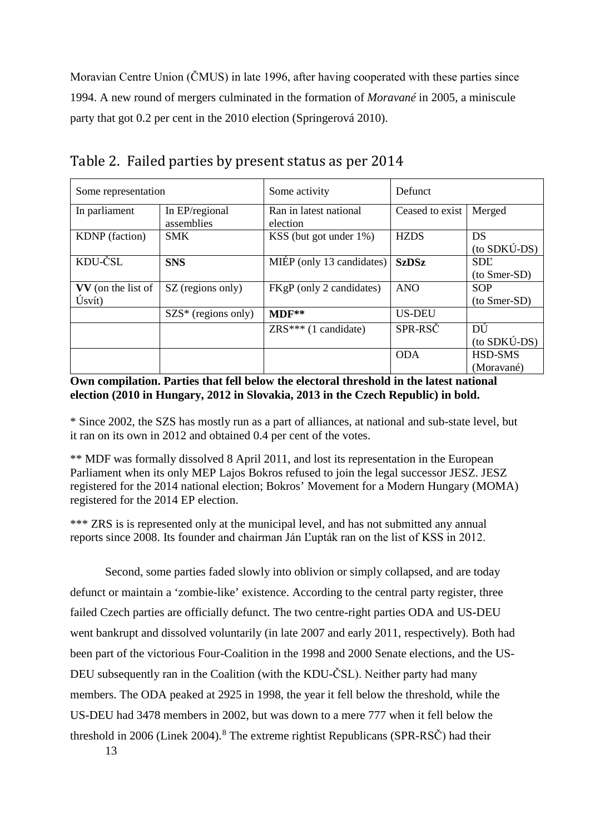Moravian Centre Union (ČMUS) in late 1996, after having cooperated with these parties since 1994. A new round of mergers culminated in the formation of *Moravané* in 2005, a miniscule party that got 0.2 per cent in the 2010 election (Springerová 2010).

|  |  | Table 2. Failed parties by present status as per 2014 |  |
|--|--|-------------------------------------------------------|--|
|--|--|-------------------------------------------------------|--|

| Some representation                 |                              | Some activity                      | Defunct         |                            |  |
|-------------------------------------|------------------------------|------------------------------------|-----------------|----------------------------|--|
| In parliament                       | In EP/regional<br>assemblies | Ran in latest national<br>election | Ceased to exist | Merged                     |  |
| KDNP (faction)                      | <b>SMK</b>                   | KSS (but got under 1%)             | <b>HZDS</b>     | DS<br>$(to$ SDKÚ-DS)       |  |
| KDU-ČSL                             | <b>SNS</b>                   | MIÉP (only 13 candidates)          | <b>SzDSz</b>    | <b>SDL</b><br>(to Smer-SD) |  |
| <b>VV</b> (on the list of<br>Úsvít) | SZ (regions only)            | FKgP (only 2 candidates)           | <b>ANO</b>      | <b>SOP</b><br>(to Smer-SD) |  |
|                                     | $SZS*$ (regions only)        | $MDF**$                            | <b>US-DEU</b>   |                            |  |
|                                     |                              | $ZRS***$ (1 candidate)             | SPR-RSČ         | DÚ                         |  |
|                                     |                              |                                    |                 | $(to$ SDKÚ-DS)             |  |
|                                     |                              |                                    | <b>ODA</b>      | <b>HSD-SMS</b>             |  |
|                                     |                              |                                    |                 | (Moravané)                 |  |

**Own compilation. Parties that fell below the electoral threshold in the latest national election (2010 in Hungary, 2012 in Slovakia, 2013 in the Czech Republic) in bold.** 

\* Since 2002, the SZS has mostly run as a part of alliances, at national and sub-state level, but it ran on its own in 2012 and obtained 0.4 per cent of the votes.

\*\* MDF was formally dissolved 8 April 2011, and lost its representation in the European Parliament when its only MEP Lajos Bokros refused to join the legal successor JESZ. JESZ registered for the 2014 national election; Bokros' Movement for a Modern Hungary (MOMA) registered for the 2014 EP election.

\*\*\* ZRS is is represented only at the municipal level, and has not submitted any annual reports since 2008. Its founder and chairman Ján Ľupták ran on the list of KSS in 2012.

Second, some parties faded slowly into oblivion or simply collapsed, and are today defunct or maintain a 'zombie-like' existence. According to the central party register, three failed Czech parties are officially defunct. The two centre-right parties ODA and US-DEU went bankrupt and dissolved voluntarily (in late 2007 and early 2011, respectively). Both had been part of the victorious Four-Coalition in the 1998 and 2000 Senate elections, and the US-DEU subsequently ran in the Coalition (with the KDU-ČSL). Neither party had many members. The ODA peaked at 2925 in 1998, the year it fell below the threshold, while the US-DEU had 3478 members in 2002, but was down to a mere 777 when it fell below the threshold in 2006 (Linek 2004).<sup>[8](#page-31-5)</sup> The extreme rightist Republicans (SPR-RSC) had their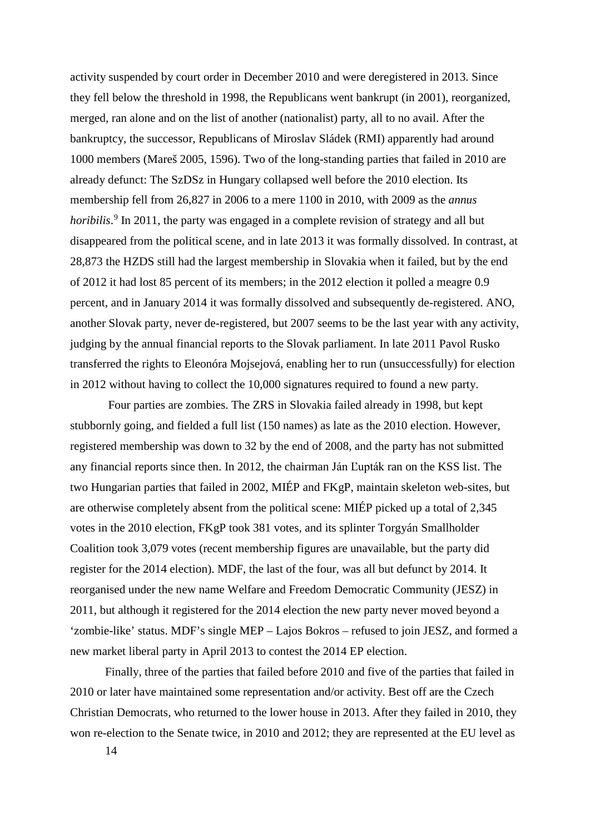activity suspended by court order in December 2010 and were deregistered in 2013. Since they fell below the threshold in 1998, the Republicans went bankrupt (in 2001), reorganized, merged, ran alone and on the list of another (nationalist) party, all to no avail. After the bankruptcy, the successor, Republicans of Miroslav Sládek (RMI) apparently had around 1000 members (Mareš 2005, 1596). Two of the long-standing parties that failed in 2010 are already defunct: The SzDSz in Hungary collapsed well before the 2010 election. Its membership fell from 26,827 in 2006 to a mere 1100 in 2010, with 2009 as the *annus horibilis*. [9](#page-31-6) In 2011, the party was engaged in a complete revision of strategy and all but disappeared from the political scene, and in late 2013 it was formally dissolved. In contrast, at 28,873 the HZDS still had the largest membership in Slovakia when it failed, but by the end of 2012 it had lost 85 percent of its members; in the 2012 election it polled a meagre 0.9 percent, and in January 2014 it was formally dissolved and subsequently de-registered. ANO, another Slovak party, never de-registered, but 2007 seems to be the last year with any activity, judging by the annual financial reports to the Slovak parliament. In late 2011 Pavol Rusko transferred the rights to Eleonóra Mojsejová, enabling her to run (unsuccessfully) for election in 2012 without having to collect the 10,000 signatures required to found a new party.

Four parties are zombies. The ZRS in Slovakia failed already in 1998, but kept stubbornly going, and fielded a full list (150 names) as late as the 2010 election. However, registered membership was down to 32 by the end of 2008, and the party has not submitted any financial reports since then. In 2012, the chairman Ján Ľupták ran on the KSS list. The two Hungarian parties that failed in 2002, MIÉP and FKgP, maintain skeleton web-sites, but are otherwise completely absent from the political scene: MIÉP picked up a total of 2,345 votes in the 2010 election, FKgP took 381 votes, and its splinter Torgyán Smallholder Coalition took 3,079 votes (recent membership figures are unavailable, but the party did register for the 2014 election). MDF, the last of the four, was all but defunct by 2014. It reorganised under the new name Welfare and Freedom Democratic Community (JESZ) in 2011, but although it registered for the 2014 election the new party never moved beyond a 'zombie-like' status. MDF's single MEP – Lajos Bokros – refused to join JESZ, and formed a new market liberal party in April 2013 to contest the 2014 EP election.

Finally, three of the parties that failed before 2010 and five of the parties that failed in 2010 or later have maintained some representation and/or activity. Best off are the Czech Christian Democrats, who returned to the lower house in 2013. After they failed in 2010, they won re-election to the Senate twice, in 2010 and 2012; they are represented at the EU level as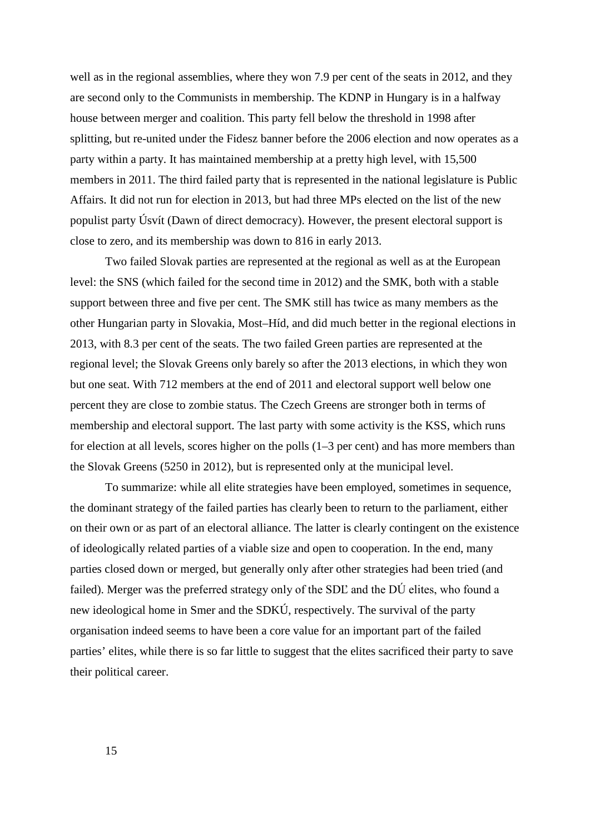well as in the regional assemblies, where they won 7.9 per cent of the seats in 2012, and they are second only to the Communists in membership. The KDNP in Hungary is in a halfway house between merger and coalition. This party fell below the threshold in 1998 after splitting, but re-united under the Fidesz banner before the 2006 election and now operates as a party within a party. It has maintained membership at a pretty high level, with 15,500 members in 2011. The third failed party that is represented in the national legislature is Public Affairs. It did not run for election in 2013, but had three MPs elected on the list of the new populist party Úsvít (Dawn of direct democracy). However, the present electoral support is close to zero, and its membership was down to 816 in early 2013.

Two failed Slovak parties are represented at the regional as well as at the European level: the SNS (which failed for the second time in 2012) and the SMK, both with a stable support between three and five per cent. The SMK still has twice as many members as the other Hungarian party in Slovakia, Most–Híd, and did much better in the regional elections in 2013, with 8.3 per cent of the seats. The two failed Green parties are represented at the regional level; the Slovak Greens only barely so after the 2013 elections, in which they won but one seat. With 712 members at the end of 2011 and electoral support well below one percent they are close to zombie status. The Czech Greens are stronger both in terms of membership and electoral support. The last party with some activity is the KSS, which runs for election at all levels, scores higher on the polls (1–3 per cent) and has more members than the Slovak Greens (5250 in 2012), but is represented only at the municipal level.

To summarize: while all elite strategies have been employed, sometimes in sequence, the dominant strategy of the failed parties has clearly been to return to the parliament, either on their own or as part of an electoral alliance. The latter is clearly contingent on the existence of ideologically related parties of a viable size and open to cooperation. In the end, many parties closed down or merged, but generally only after other strategies had been tried (and failed). Merger was the preferred strategy only of the SDĽ and the DÚ elites, who found a new ideological home in Smer and the SDKÚ, respectively. The survival of the party organisation indeed seems to have been a core value for an important part of the failed parties' elites, while there is so far little to suggest that the elites sacrificed their party to save their political career.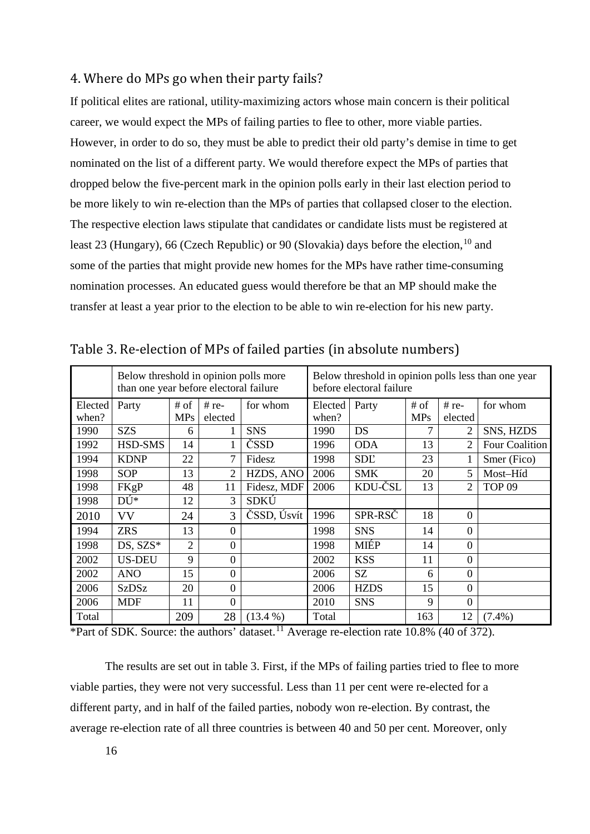### 4. Where do MPs go when their party fails?

If political elites are rational, utility-maximizing actors whose main concern is their political career, we would expect the MPs of failing parties to flee to other, more viable parties. However, in order to do so, they must be able to predict their old party's demise in time to get nominated on the list of a different party. We would therefore expect the MPs of parties that dropped below the five-percent mark in the opinion polls early in their last election period to be more likely to win re-election than the MPs of parties that collapsed closer to the election. The respective election laws stipulate that candidates or candidate lists must be registered at least 23 (Hungary), 66 (Czech Republic) or 90 (Slovakia) days before the election,  $10$  and some of the parties that might provide new homes for the MPs have rather time-consuming nomination processes. An educated guess would therefore be that an MP should make the transfer at least a year prior to the election to be able to win re-election for his new party.

|         | Below threshold in opinion polls more<br>than one year before electoral failure |                |          |             | Below threshold in opinion polls less than one year<br>before electoral failure |             |            |                  |                   |
|---------|---------------------------------------------------------------------------------|----------------|----------|-------------|---------------------------------------------------------------------------------|-------------|------------|------------------|-------------------|
| Elected | Party                                                                           | # of           | $# re-$  | for whom    | Elected                                                                         | Party       | # of       | $# re-$          | for whom          |
| when?   |                                                                                 | <b>MPs</b>     | elected  |             | when?                                                                           |             | <b>MPs</b> | elected          |                   |
| 1990    | <b>SZS</b>                                                                      | 6              |          | <b>SNS</b>  | 1990                                                                            | DS          |            | 2                | SNS, HZDS         |
| 1992    | HSD-SMS                                                                         | 14             |          | ČSSD        | 1996                                                                            | <b>ODA</b>  | 13         | 2                | Four Coalition    |
| 1994    | <b>KDNP</b>                                                                     | 22             | 7        | Fidesz      | 1998                                                                            | <b>SDL</b>  | 23         | 1                | Smer (Fico)       |
| 1998    | <b>SOP</b>                                                                      | 13             | 2        | HZDS, ANO   | 2006                                                                            | <b>SMK</b>  | 20         | 5                | Most-Híd          |
| 1998    | FKgP                                                                            | 48             | 11       | Fidesz, MDF | 2006                                                                            | KDU-ČSL     | 13         | 2                | TOP <sub>09</sub> |
| 1998    | $D\acute{U}^*$                                                                  | 12             | 3        | <b>SDKÚ</b> |                                                                                 |             |            |                  |                   |
| 2010    | <b>VV</b>                                                                       | 24             | 3        | ČSSD, Úsvít | 1996                                                                            | SPR-RSČ     | 18         | $\boldsymbol{0}$ |                   |
| 1994    | <b>ZRS</b>                                                                      | 13             | $\Omega$ |             | 1998                                                                            | <b>SNS</b>  | 14         | $\theta$         |                   |
| 1998    | DS, SZS*                                                                        | $\overline{2}$ | $\Omega$ |             | 1998                                                                            | <b>MIÉP</b> | 14         | $\theta$         |                   |
| 2002    | <b>US-DEU</b>                                                                   | 9              | $\Omega$ |             | 2002                                                                            | <b>KSS</b>  | 11         | $\overline{0}$   |                   |
| 2002    | <b>ANO</b>                                                                      | 15             | $\Omega$ |             | 2006                                                                            | SZ          | 6          | $\boldsymbol{0}$ |                   |
| 2006    | <b>SzDSz</b>                                                                    | 20             | $\Omega$ |             | 2006                                                                            | <b>HZDS</b> | 15         | $\theta$         |                   |
| 2006    | <b>MDF</b>                                                                      | 11             | $\Omega$ |             | 2010                                                                            | <b>SNS</b>  | 9          | $\theta$         |                   |
| Total   |                                                                                 | 209            | 28       | $(13.4\%)$  | Total                                                                           |             | 163        | 12               | $(7.4\%)$         |

Table 3. Re-election of MPs of failed parties (in absolute numbers)

\*Part of SDK. Source: the authors' dataset.<sup>[11](#page-31-8)</sup> Average re-election rate  $10.8\%$  (40 of 372).

The results are set out in table 3. First, if the MPs of failing parties tried to flee to more viable parties, they were not very successful. Less than 11 per cent were re-elected for a different party, and in half of the failed parties, nobody won re-election. By contrast, the average re-election rate of all three countries is between 40 and 50 per cent. Moreover, only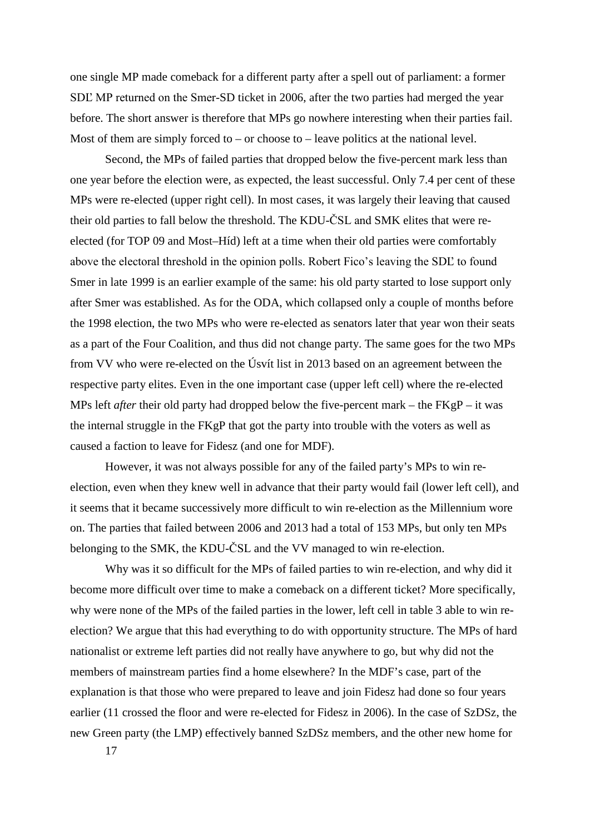one single MP made comeback for a different party after a spell out of parliament: a former SDĽ MP returned on the Smer-SD ticket in 2006, after the two parties had merged the year before. The short answer is therefore that MPs go nowhere interesting when their parties fail. Most of them are simply forced to – or choose to – leave politics at the national level.

Second, the MPs of failed parties that dropped below the five-percent mark less than one year before the election were, as expected, the least successful. Only 7.4 per cent of these MPs were re-elected (upper right cell). In most cases, it was largely their leaving that caused their old parties to fall below the threshold. The KDU-ČSL and SMK elites that were reelected (for TOP 09 and Most–Híd) left at a time when their old parties were comfortably above the electoral threshold in the opinion polls. Robert Fico's leaving the SDĽ to found Smer in late 1999 is an earlier example of the same: his old party started to lose support only after Smer was established. As for the ODA, which collapsed only a couple of months before the 1998 election, the two MPs who were re-elected as senators later that year won their seats as a part of the Four Coalition, and thus did not change party. The same goes for the two MPs from VV who were re-elected on the Úsvít list in 2013 based on an agreement between the respective party elites. Even in the one important case (upper left cell) where the re-elected MPs left *after* their old party had dropped below the five-percent mark – the FKgP – it was the internal struggle in the FKgP that got the party into trouble with the voters as well as caused a faction to leave for Fidesz (and one for MDF).

However, it was not always possible for any of the failed party's MPs to win reelection, even when they knew well in advance that their party would fail (lower left cell), and it seems that it became successively more difficult to win re-election as the Millennium wore on. The parties that failed between 2006 and 2013 had a total of 153 MPs, but only ten MPs belonging to the SMK, the KDU-ČSL and the VV managed to win re-election.

Why was it so difficult for the MPs of failed parties to win re-election, and why did it become more difficult over time to make a comeback on a different ticket? More specifically, why were none of the MPs of the failed parties in the lower, left cell in table 3 able to win reelection? We argue that this had everything to do with opportunity structure. The MPs of hard nationalist or extreme left parties did not really have anywhere to go, but why did not the members of mainstream parties find a home elsewhere? In the MDF's case, part of the explanation is that those who were prepared to leave and join Fidesz had done so four years earlier (11 crossed the floor and were re-elected for Fidesz in 2006). In the case of SzDSz, the new Green party (the LMP) effectively banned SzDSz members, and the other new home for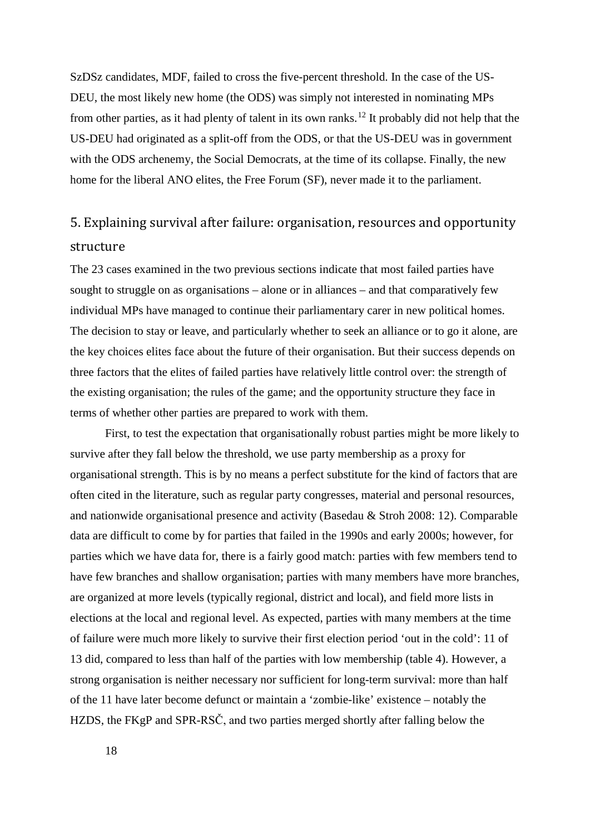SzDSz candidates, MDF, failed to cross the five-percent threshold. In the case of the US-DEU, the most likely new home (the ODS) was simply not interested in nominating MPs from other parties, as it had plenty of talent in its own ranks. [12](#page-31-9) It probably did not help that the US-DEU had originated as a split-off from the ODS, or that the US-DEU was in government with the ODS archenemy, the Social Democrats, at the time of its collapse. Finally, the new home for the liberal ANO elites, the Free Forum (SF), never made it to the parliament.

# 5. Explaining survival after failure: organisation, resources and opportunity structure

The 23 cases examined in the two previous sections indicate that most failed parties have sought to struggle on as organisations – alone or in alliances – and that comparatively few individual MPs have managed to continue their parliamentary carer in new political homes. The decision to stay or leave, and particularly whether to seek an alliance or to go it alone, are the key choices elites face about the future of their organisation. But their success depends on three factors that the elites of failed parties have relatively little control over: the strength of the existing organisation; the rules of the game; and the opportunity structure they face in terms of whether other parties are prepared to work with them.

First, to test the expectation that organisationally robust parties might be more likely to survive after they fall below the threshold, we use party membership as a proxy for organisational strength. This is by no means a perfect substitute for the kind of factors that are often cited in the literature, such as regular party congresses, material and personal resources, and nationwide organisational presence and activity (Basedau & Stroh 2008: 12). Comparable data are difficult to come by for parties that failed in the 1990s and early 2000s; however, for parties which we have data for, there is a fairly good match: parties with few members tend to have few branches and shallow organisation; parties with many members have more branches, are organized at more levels (typically regional, district and local), and field more lists in elections at the local and regional level. As expected, parties with many members at the time of failure were much more likely to survive their first election period 'out in the cold': 11 of 13 did, compared to less than half of the parties with low membership (table 4). However, a strong organisation is neither necessary nor sufficient for long-term survival: more than half of the 11 have later become defunct or maintain a 'zombie-like' existence – notably the HZDS, the FKgP and SPR-RSČ, and two parties merged shortly after falling below the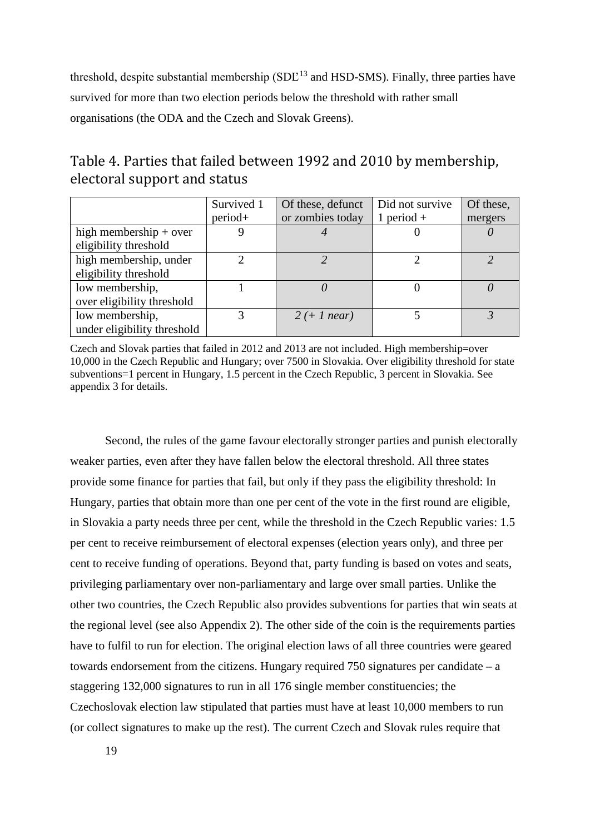threshold, despite substantial membership  $(SDE<sup>13</sup>$  $(SDE<sup>13</sup>$  $(SDE<sup>13</sup>$  and HSD-SMS). Finally, three parties have survived for more than two election periods below the threshold with rather small organisations (the ODA and the Czech and Slovak Greens).

| Table 4. Parties that failed between 1992 and 2010 by membership, |  |
|-------------------------------------------------------------------|--|
| electoral support and status                                      |  |

|                             | Survived 1 | Of these, defunct | Did not survive | Of these, |
|-----------------------------|------------|-------------------|-----------------|-----------|
|                             | period+    | or zombies today  | 1 period $+$    | mergers   |
| high membership $+$ over    |            |                   |                 |           |
| eligibility threshold       |            |                   |                 |           |
| high membership, under      |            |                   |                 |           |
| eligibility threshold       |            |                   |                 |           |
| low membership,             |            |                   |                 |           |
| over eligibility threshold  |            |                   |                 |           |
| low membership,             | 3          | $2 (+ 1 near)$    |                 |           |
| under eligibility threshold |            |                   |                 |           |

Czech and Slovak parties that failed in 2012 and 2013 are not included. High membership=over 10,000 in the Czech Republic and Hungary; over 7500 in Slovakia. Over eligibility threshold for state subventions=1 percent in Hungary, 1.5 percent in the Czech Republic, 3 percent in Slovakia. See appendix 3 for details.

Second, the rules of the game favour electorally stronger parties and punish electorally weaker parties, even after they have fallen below the electoral threshold. All three states provide some finance for parties that fail, but only if they pass the eligibility threshold: In Hungary, parties that obtain more than one per cent of the vote in the first round are eligible, in Slovakia a party needs three per cent, while the threshold in the Czech Republic varies: 1.5 per cent to receive reimbursement of electoral expenses (election years only), and three per cent to receive funding of operations. Beyond that, party funding is based on votes and seats, privileging parliamentary over non-parliamentary and large over small parties. Unlike the other two countries, the Czech Republic also provides subventions for parties that win seats at the regional level (see also Appendix 2). The other side of the coin is the requirements parties have to fulfil to run for election. The original election laws of all three countries were geared towards endorsement from the citizens. Hungary required 750 signatures per candidate – a staggering 132,000 signatures to run in all 176 single member constituencies; the Czechoslovak election law stipulated that parties must have at least 10,000 members to run (or collect signatures to make up the rest). The current Czech and Slovak rules require that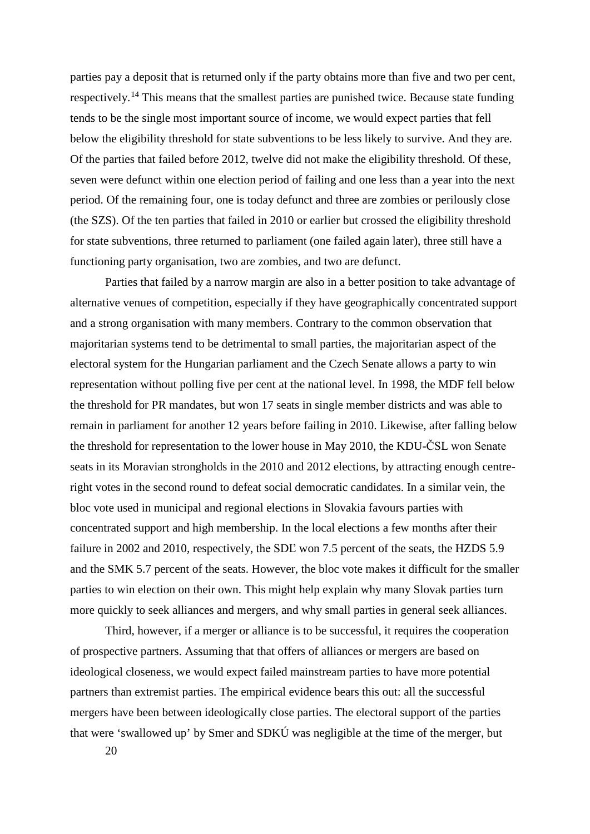parties pay a deposit that is returned only if the party obtains more than five and two per cent, respectively.[14](#page-31-11) This means that the smallest parties are punished twice. Because state funding tends to be the single most important source of income, we would expect parties that fell below the eligibility threshold for state subventions to be less likely to survive. And they are. Of the parties that failed before 2012, twelve did not make the eligibility threshold. Of these, seven were defunct within one election period of failing and one less than a year into the next period. Of the remaining four, one is today defunct and three are zombies or perilously close (the SZS). Of the ten parties that failed in 2010 or earlier but crossed the eligibility threshold for state subventions, three returned to parliament (one failed again later), three still have a functioning party organisation, two are zombies, and two are defunct.

Parties that failed by a narrow margin are also in a better position to take advantage of alternative venues of competition, especially if they have geographically concentrated support and a strong organisation with many members. Contrary to the common observation that majoritarian systems tend to be detrimental to small parties, the majoritarian aspect of the electoral system for the Hungarian parliament and the Czech Senate allows a party to win representation without polling five per cent at the national level. In 1998, the MDF fell below the threshold for PR mandates, but won 17 seats in single member districts and was able to remain in parliament for another 12 years before failing in 2010. Likewise, after falling below the threshold for representation to the lower house in May 2010, the KDU-ČSL won Senate seats in its Moravian strongholds in the 2010 and 2012 elections, by attracting enough centreright votes in the second round to defeat social democratic candidates. In a similar vein, the bloc vote used in municipal and regional elections in Slovakia favours parties with concentrated support and high membership. In the local elections a few months after their failure in 2002 and 2010, respectively, the SDL won 7.5 percent of the seats, the HZDS 5.9 and the SMK 5.7 percent of the seats. However, the bloc vote makes it difficult for the smaller parties to win election on their own. This might help explain why many Slovak parties turn more quickly to seek alliances and mergers, and why small parties in general seek alliances.

Third, however, if a merger or alliance is to be successful, it requires the cooperation of prospective partners. Assuming that that offers of alliances or mergers are based on ideological closeness, we would expect failed mainstream parties to have more potential partners than extremist parties. The empirical evidence bears this out: all the successful mergers have been between ideologically close parties. The electoral support of the parties that were 'swallowed up' by Smer and SDKÚ was negligible at the time of the merger, but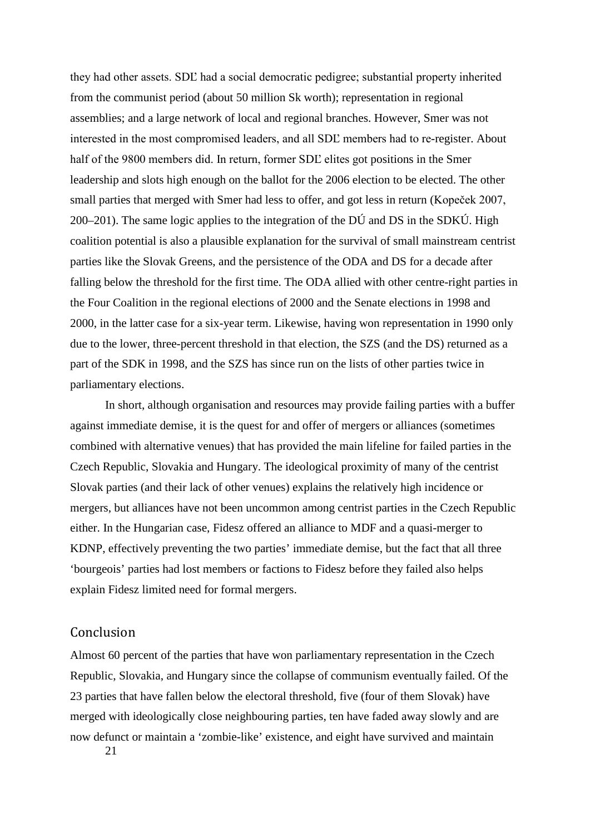they had other assets. SDĽ had a social democratic pedigree; substantial property inherited from the communist period (about 50 million Sk worth); representation in regional assemblies; and a large network of local and regional branches. However, Smer was not interested in the most compromised leaders, and all SDĽ members had to re-register. About half of the 9800 members did. In return, former SDL elites got positions in the Smer leadership and slots high enough on the ballot for the 2006 election to be elected. The other small parties that merged with Smer had less to offer, and got less in return (Kopeček 2007, 200–201). The same logic applies to the integration of the DÚ and DS in the SDKÚ. High coalition potential is also a plausible explanation for the survival of small mainstream centrist parties like the Slovak Greens, and the persistence of the ODA and DS for a decade after falling below the threshold for the first time. The ODA allied with other centre-right parties in the Four Coalition in the regional elections of 2000 and the Senate elections in 1998 and 2000, in the latter case for a six-year term. Likewise, having won representation in 1990 only due to the lower, three-percent threshold in that election, the SZS (and the DS) returned as a part of the SDK in 1998, and the SZS has since run on the lists of other parties twice in parliamentary elections.

In short, although organisation and resources may provide failing parties with a buffer against immediate demise, it is the quest for and offer of mergers or alliances (sometimes combined with alternative venues) that has provided the main lifeline for failed parties in the Czech Republic, Slovakia and Hungary. The ideological proximity of many of the centrist Slovak parties (and their lack of other venues) explains the relatively high incidence or mergers, but alliances have not been uncommon among centrist parties in the Czech Republic either. In the Hungarian case, Fidesz offered an alliance to MDF and a quasi-merger to KDNP, effectively preventing the two parties' immediate demise, but the fact that all three 'bourgeois' parties had lost members or factions to Fidesz before they failed also helps explain Fidesz limited need for formal mergers.

#### Conclusion

Almost 60 percent of the parties that have won parliamentary representation in the Czech Republic, Slovakia, and Hungary since the collapse of communism eventually failed. Of the 23 parties that have fallen below the electoral threshold, five (four of them Slovak) have merged with ideologically close neighbouring parties, ten have faded away slowly and are now defunct or maintain a 'zombie-like' existence, and eight have survived and maintain

21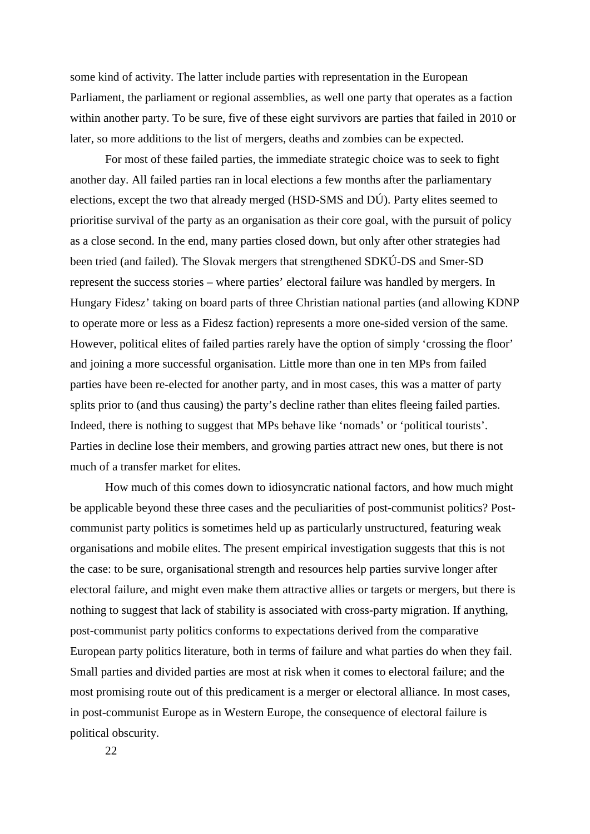some kind of activity. The latter include parties with representation in the European Parliament, the parliament or regional assemblies, as well one party that operates as a faction within another party. To be sure, five of these eight survivors are parties that failed in 2010 or later, so more additions to the list of mergers, deaths and zombies can be expected.

For most of these failed parties, the immediate strategic choice was to seek to fight another day. All failed parties ran in local elections a few months after the parliamentary elections, except the two that already merged (HSD-SMS and DÚ). Party elites seemed to prioritise survival of the party as an organisation as their core goal, with the pursuit of policy as a close second. In the end, many parties closed down, but only after other strategies had been tried (and failed). The Slovak mergers that strengthened SDKÚ-DS and Smer-SD represent the success stories – where parties' electoral failure was handled by mergers. In Hungary Fidesz' taking on board parts of three Christian national parties (and allowing KDNP to operate more or less as a Fidesz faction) represents a more one-sided version of the same. However, political elites of failed parties rarely have the option of simply 'crossing the floor' and joining a more successful organisation. Little more than one in ten MPs from failed parties have been re-elected for another party, and in most cases, this was a matter of party splits prior to (and thus causing) the party's decline rather than elites fleeing failed parties. Indeed, there is nothing to suggest that MPs behave like 'nomads' or 'political tourists'. Parties in decline lose their members, and growing parties attract new ones, but there is not much of a transfer market for elites.

How much of this comes down to idiosyncratic national factors, and how much might be applicable beyond these three cases and the peculiarities of post-communist politics? Postcommunist party politics is sometimes held up as particularly unstructured, featuring weak organisations and mobile elites. The present empirical investigation suggests that this is not the case: to be sure, organisational strength and resources help parties survive longer after electoral failure, and might even make them attractive allies or targets or mergers, but there is nothing to suggest that lack of stability is associated with cross-party migration. If anything, post-communist party politics conforms to expectations derived from the comparative European party politics literature, both in terms of failure and what parties do when they fail. Small parties and divided parties are most at risk when it comes to electoral failure; and the most promising route out of this predicament is a merger or electoral alliance. In most cases, in post-communist Europe as in Western Europe, the consequence of electoral failure is political obscurity.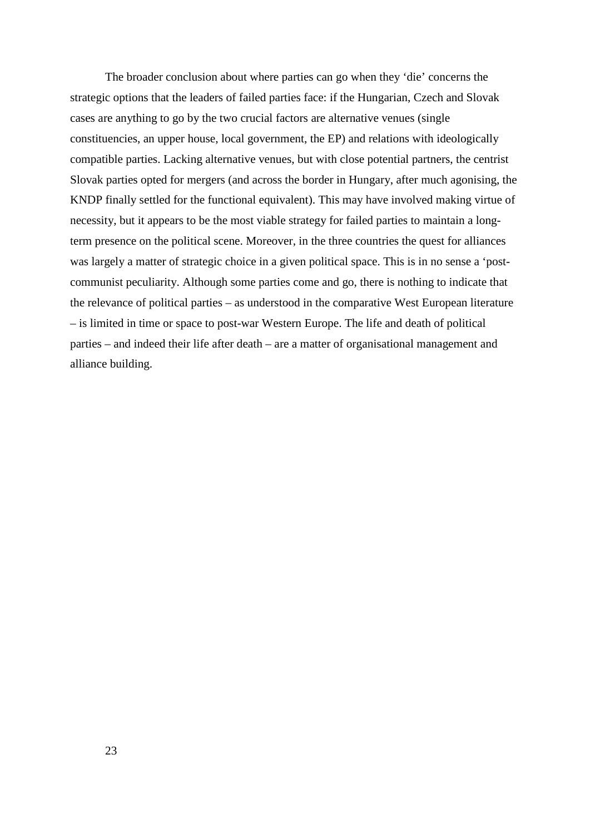The broader conclusion about where parties can go when they 'die' concerns the strategic options that the leaders of failed parties face: if the Hungarian, Czech and Slovak cases are anything to go by the two crucial factors are alternative venues (single constituencies, an upper house, local government, the EP) and relations with ideologically compatible parties. Lacking alternative venues, but with close potential partners, the centrist Slovak parties opted for mergers (and across the border in Hungary, after much agonising, the KNDP finally settled for the functional equivalent). This may have involved making virtue of necessity, but it appears to be the most viable strategy for failed parties to maintain a longterm presence on the political scene. Moreover, in the three countries the quest for alliances was largely a matter of strategic choice in a given political space. This is in no sense a 'postcommunist peculiarity. Although some parties come and go, there is nothing to indicate that the relevance of political parties – as understood in the comparative West European literature – is limited in time or space to post-war Western Europe. The life and death of political parties – and indeed their life after death – are a matter of organisational management and alliance building.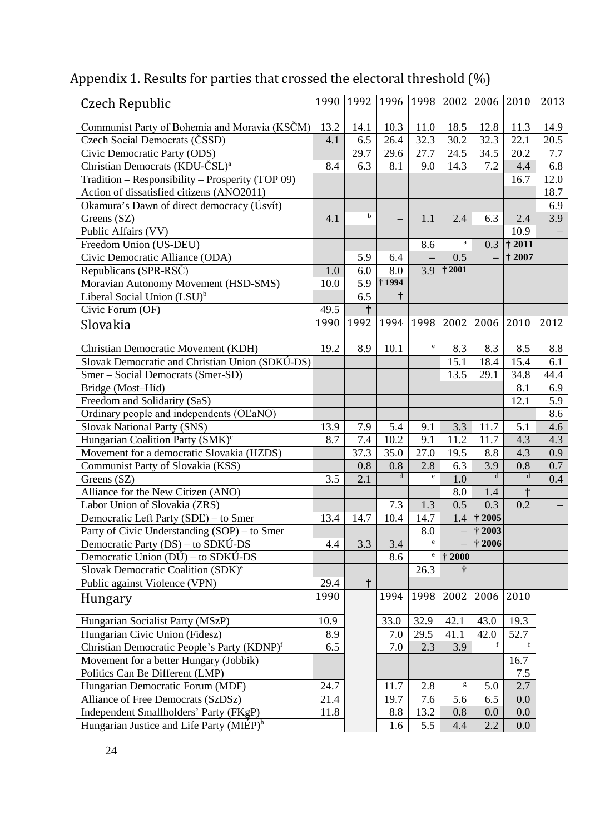| Czech Republic                                          | 1990 |              | 1992   1996   1998   2002 |              |                    | 2006 2010      |                    | 2013 |
|---------------------------------------------------------|------|--------------|---------------------------|--------------|--------------------|----------------|--------------------|------|
| Communist Party of Bohemia and Moravia (KSČM)           | 13.2 | 14.1         | 10.3                      | 11.0         | 18.5               | 12.8           | 11.3               | 14.9 |
| Czech Social Democrats (ČSSD)                           | 4.1  | 6.5          | 26.4                      | 32.3         | 30.2               | 32.3           | 22.1               | 20.5 |
| Civic Democratic Party (ODS)                            |      | 29.7         | 29.6                      | 27.7         | 24.5               | 34.5           | 20.2               | 7.7  |
| Christian Democrats (KDU-ČSL) <sup>a</sup>              | 8.4  | 6.3          | 8.1                       | 9.0          | 14.3               | 7.2            | 4.4                | 6.8  |
| Tradition - Responsibility - Prosperity (TOP 09)        |      |              |                           |              |                    |                | 16.7               | 12.0 |
| Action of dissatisfied citizens (ANO2011)               |      |              |                           |              |                    |                |                    | 18.7 |
| Okamura's Dawn of direct democracy (Úsvít)              |      |              |                           |              |                    |                |                    | 6.9  |
| Greens (SZ)                                             | 4.1  | $\mathbf b$  |                           | 1.1          | 2.4                | 6.3            | 2.4                | 3.9  |
| Public Affairs (VV)                                     |      |              |                           |              |                    |                | 10.9               |      |
| Freedom Union (US-DEU)                                  |      |              |                           | 8.6          | $\rm{a}$           | 0.3            | $\ddagger$<br>2011 |      |
| Civic Democratic Alliance (ODA)                         |      | 5.9          | 6.4                       |              | 0.5                |                | ÷<br>2007          |      |
| Republicans (SPR-RSČ)                                   | 1.0  | 6.0          | 8.0                       | 3.9          | $\frac{1}{1}$ 2001 |                |                    |      |
|                                                         | 10.0 | 5.9          | † 1994                    |              |                    |                |                    |      |
| Moravian Autonomy Movement (HSD-SMS)                    |      |              |                           |              |                    |                |                    |      |
| Liberal Social Union (LSU) <sup>b</sup>                 |      | 6.5          | $\dagger$                 |              |                    |                |                    |      |
| Civic Forum (OF)                                        | 49.5 | $\dot{\tau}$ |                           |              |                    |                |                    |      |
| Slovakia                                                | 1990 | 1992         | 1994                      | 1998         | 2002               | 2006           | 2010               | 2012 |
| Christian Democratic Movement (KDH)                     | 19.2 | 8.9          | 10.1                      | $\rm e$      | 8.3                | 8.3            | 8.5                | 8.8  |
| Slovak Democratic and Christian Union (SDKÚ-DS)         |      |              |                           |              | 15.1               | 18.4           | 15.4               | 6.1  |
| Smer - Social Democrats (Smer-SD)                       |      |              |                           |              | 13.5               | 29.1           | 34.8               | 44.4 |
| Bridge (Most-Híd)                                       |      |              |                           |              |                    |                | 8.1                | 6.9  |
| Freedom and Solidarity (SaS)                            |      |              |                           |              |                    |                | 12.1               | 5.9  |
| Ordinary people and independents (OĽaNO)                |      |              |                           |              |                    |                |                    | 8.6  |
| <b>Slovak National Party (SNS)</b>                      | 13.9 | 7.9          | 5.4                       | 9.1          | 3.3                | 11.7           | 5.1                | 4.6  |
| Hungarian Coalition Party (SMK) <sup>c</sup>            | 8.7  | 7.4          | 10.2                      | 9.1          | 11.2               | 11.7           | 4.3                | 4.3  |
| Movement for a democratic Slovakia (HZDS)               |      | 37.3         | 35.0                      | 27.0         | 19.5               | 8.8            | 4.3                | 0.9  |
| Communist Party of Slovakia (KSS)                       |      | 0.8          | 0.8                       | 2.8          | 6.3                | 3.9            | 0.8                | 0.7  |
| Greens (SZ)                                             | 3.5  | 2.1          | d                         | $\mathbf{e}$ | 1.0                | $\mathbf d$    | $\mathbf d$        | 0.4  |
| Alliance for the New Citizen (ANO)                      |      |              |                           |              | 8.0                | 1.4            | $\dagger$          |      |
| Labor Union of Slovakia (ZRS)                           |      |              | 7.3                       | 1.3          | 0.5                | 0.3            | 0.2                |      |
| Democratic Left Party (SDL) – to Smer                   | 13.4 | 14.7         | 10.4                      | 14.7         | 1.4                | 2005<br>÷      |                    |      |
| Party of Civic Understanding (SOP) – to Smer            |      |              |                           | 8.0          |                    | $\dagger$ 2003 |                    |      |
| Democratic Party (DS) – to SDKÚ-DS                      | 4.4  | 3.3          | 3.4                       | $\rm e$      |                    | $\dagger$ 2006 |                    |      |
| Democratic Union $(DU)$ – to SDKU-DS                    |      |              | 8.6                       | $\rm e$      | 2000               |                |                    |      |
| Slovak Democratic Coalition (SDK) <sup>e</sup>          |      |              |                           | 26.3         | $\ddagger$         |                |                    |      |
| Public against Violence (VPN)                           | 29.4 | $\ddagger$   |                           |              |                    |                |                    |      |
| Hungary                                                 | 1990 |              | 1994                      | 1998         | 2002               | 2006           | 2010               |      |
| Hungarian Socialist Party (MSzP)                        | 10.9 |              | 33.0                      | 32.9         | 42.1               | 43.0           | 19.3               |      |
| Hungarian Civic Union (Fidesz)                          | 8.9  |              | 7.0                       | 29.5         | 41.1               | 42.0           | 52.7               |      |
| Christian Democratic People's Party (KDNP) <sup>f</sup> | 6.5  |              | 7.0                       | 2.3          | 3.9                | f              |                    |      |
| Movement for a better Hungary (Jobbik)                  |      |              |                           |              |                    |                | 16.7               |      |
| Politics Can Be Different (LMP)                         |      |              |                           |              |                    |                | 7.5                |      |
| Hungarian Democratic Forum (MDF)                        | 24.7 |              | 11.7                      | 2.8          | g                  | 5.0            | 2.7                |      |
| Alliance of Free Democrats (SzDSz)                      | 21.4 |              | 19.7                      | 7.6          | 5.6                | 6.5            | 0.0                |      |
| Independent Smallholders' Party (FKgP)                  | 11.8 |              | 8.8                       | 13.2         | 0.8                | 0.0            | 0.0                |      |
| Hungarian Justice and Life Party (MIÉP) <sup>h</sup>    |      |              | 1.6                       | 5.5          | 4.4                | 2.2            | 0.0                |      |

# Appendix 1. Results for parties that crossed the electoral threshold (%)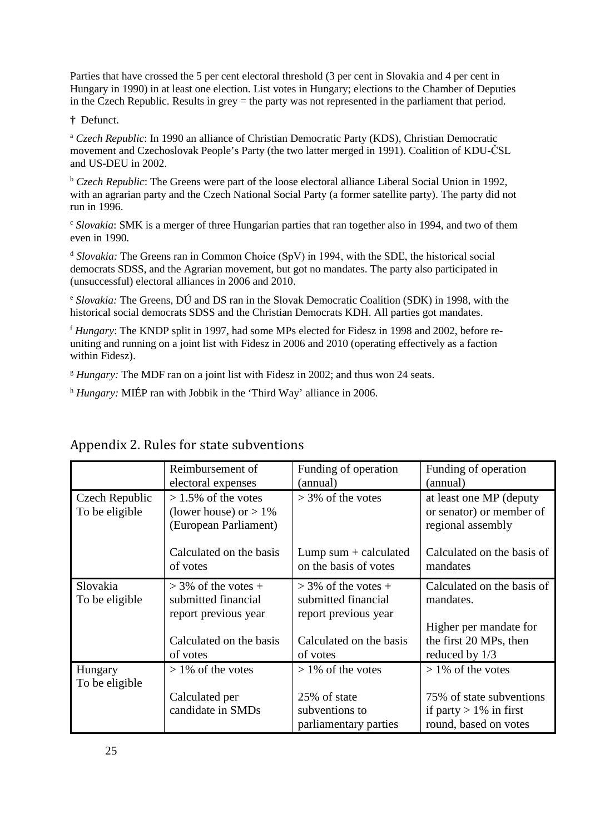Parties that have crossed the 5 per cent electoral threshold (3 per cent in Slovakia and 4 per cent in Hungary in 1990) in at least one election. List votes in Hungary; elections to the Chamber of Deputies in the Czech Republic. Results in grey = the party was not represented in the parliament that period.

**†** Defunct.

<sup>a</sup> *Czech Republic*: In 1990 an alliance of Christian Democratic Party (KDS), Christian Democratic movement and Czechoslovak People's Party (the two latter merged in 1991). Coalition of KDU-ČSL and US-DEU in 2002.

<sup>b</sup> *Czech Republic*: The Greens were part of the loose electoral alliance Liberal Social Union in 1992, with an agrarian party and the Czech National Social Party (a former satellite party). The party did not run in 1996.

<sup>c</sup> *Slovakia*: SMK is a merger of three Hungarian parties that ran together also in 1994, and two of them even in 1990.

<sup>d</sup> *Slovakia*: The Greens ran in Common Choice (SpV) in 1994, with the SDL, the historical social democrats SDSS, and the Agrarian movement, but got no mandates. The party also participated in (unsuccessful) electoral alliances in 2006 and 2010.

<sup>e</sup> *Slovakia:* The Greens, DÚ and DS ran in the Slovak Democratic Coalition (SDK) in 1998, with the historical social democrats SDSS and the Christian Democrats KDH. All parties got mandates.

<sup>f</sup> *Hungary*: The KNDP split in 1997, had some MPs elected for Fidesz in 1998 and 2002, before reuniting and running on a joint list with Fidesz in 2006 and 2010 (operating effectively as a faction within Fidesz).

<sup>g</sup> *Hungary*: The MDF ran on a joint list with Fidesz in 2002; and thus won 24 seats.

<sup>h</sup> *Hungary:* MIÉP ran with Jobbik in the 'Third Way' alliance in 2006.

|                                  | Reimbursement of<br>electoral expenses                                      | Funding of operation<br>(annual)                                     | Funding of operation<br>(annual)                                               |
|----------------------------------|-----------------------------------------------------------------------------|----------------------------------------------------------------------|--------------------------------------------------------------------------------|
| Czech Republic<br>To be eligible | $> 1.5\%$ of the votes<br>(lower house) or $> 1\%$<br>(European Parliament) | $>$ 3% of the votes                                                  | at least one MP (deputy<br>or senator) or member of<br>regional assembly       |
|                                  | Calculated on the basis<br>of votes                                         | Lump sum $+$ calculated<br>on the basis of votes                     | Calculated on the basis of<br>mandates                                         |
| Slovakia<br>To be eligible       | $>$ 3% of the votes +<br>submitted financial<br>report previous year        | $>$ 3% of the votes +<br>submitted financial<br>report previous year | Calculated on the basis of<br>mandates.                                        |
|                                  | Calculated on the basis<br>of votes                                         | Calculated on the basis<br>of votes                                  | Higher per mandate for<br>the first 20 MPs, then<br>reduced by 1/3             |
| Hungary<br>To be eligible        | $> 1\%$ of the votes                                                        | $> 1\%$ of the votes                                                 | $> 1\%$ of the votes                                                           |
|                                  | Calculated per<br>candidate in SMDs                                         | 25% of state<br>subventions to<br>parliamentary parties              | 75% of state subventions<br>if party $> 1\%$ in first<br>round, based on votes |

# Appendix 2. Rules for state subventions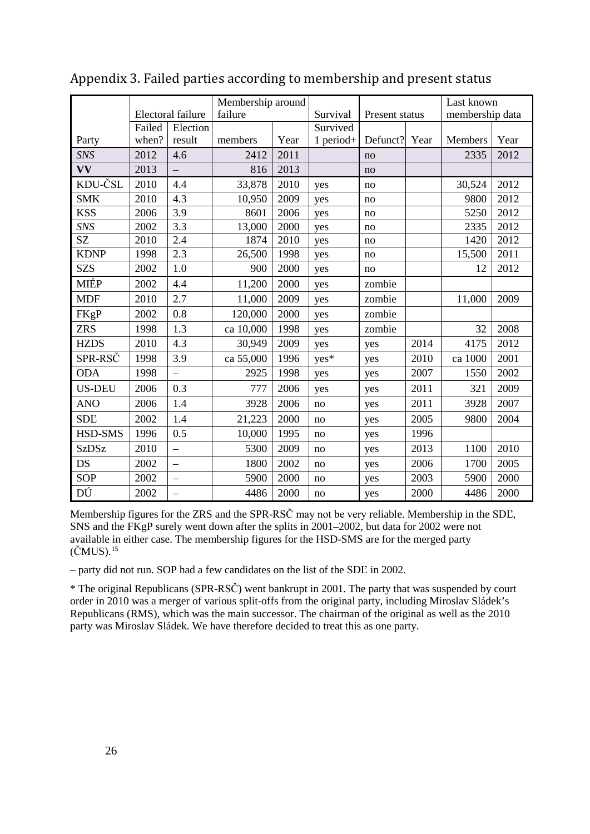|                |        |                          | Membership around |          |             |                |      | Last known      |      |  |
|----------------|--------|--------------------------|-------------------|----------|-------------|----------------|------|-----------------|------|--|
|                |        | Electoral failure        | failure           | Survival |             | Present status |      | membership data |      |  |
|                | Failed | Election                 |                   |          | Survived    |                |      |                 |      |  |
| Party          | when?  | result                   | members           | Year     | $1$ period+ | Defunct? Year  |      | Members         | Year |  |
| <b>SNS</b>     | 2012   | 4.6                      | 2412              | 2011     |             | no             |      | 2335            | 2012 |  |
| <b>VV</b>      | 2013   | $\overline{\phantom{0}}$ | 816               | 2013     |             | no             |      |                 |      |  |
| KDU-ČSL        | 2010   | 4.4                      | 33,878            | 2010     | yes         | no             |      | 30,524          | 2012 |  |
| <b>SMK</b>     | 2010   | 4.3                      | 10,950            | 2009     | yes         | no             |      | 9800            | 2012 |  |
| <b>KSS</b>     | 2006   | 3.9                      | 8601              | 2006     | yes         | no             |      | 5250            | 2012 |  |
| SNS            | 2002   | 3.3                      | 13,000            | 2000     | yes         | no             |      | 2335            | 2012 |  |
| <b>SZ</b>      | 2010   | 2.4                      | 1874              | 2010     | yes         | no             |      | 1420            | 2012 |  |
| <b>KDNP</b>    | 1998   | 2.3                      | 26,500            | 1998     | yes         | no             |      | 15,500          | 2011 |  |
| <b>SZS</b>     | 2002   | 1.0                      | 900               | 2000     | yes         | no             |      | 12              | 2012 |  |
| <b>MIÉP</b>    | 2002   | 4.4                      | 11,200            | 2000     | yes         | zombie         |      |                 |      |  |
| <b>MDF</b>     | 2010   | 2.7                      | 11,000            | 2009     | yes         | zombie         |      | 11,000          | 2009 |  |
| FKgP           | 2002   | 0.8                      | 120,000           | 2000     | yes         | zombie         |      |                 |      |  |
| <b>ZRS</b>     | 1998   | 1.3                      | ca 10,000         | 1998     | yes         | zombie         |      | 32              | 2008 |  |
| <b>HZDS</b>    | 2010   | 4.3                      | 30,949            | 2009     | yes         | yes            | 2014 | 4175            | 2012 |  |
| SPR-RSČ        | 1998   | 3.9                      | ca 55,000         | 1996     | yes*        | yes            | 2010 | ca 1000         | 2001 |  |
| <b>ODA</b>     | 1998   | $\equiv$                 | 2925              | 1998     | yes         | yes            | 2007 | 1550            | 2002 |  |
| <b>US-DEU</b>  | 2006   | 0.3                      | 777               | 2006     | yes         | yes            | 2011 | 321             | 2009 |  |
| <b>ANO</b>     | 2006   | 1.4                      | 3928              | 2006     | no          | yes            | 2011 | 3928            | 2007 |  |
| <b>SDL</b>     | 2002   | 1.4                      | 21,223            | 2000     | no          | yes            | 2005 | 9800            | 2004 |  |
| <b>HSD-SMS</b> | 1996   | 0.5                      | 10,000            | 1995     | no          | yes            | 1996 |                 |      |  |
| <b>SzDSz</b>   | 2010   | $\equiv$                 | 5300              | 2009     | no          | yes            | 2013 | 1100            | 2010 |  |
| <b>DS</b>      | 2002   | $\overline{a}$           | 1800              | 2002     | no          | yes            | 2006 | 1700            | 2005 |  |
| SOP            | 2002   | $\equiv$                 | 5900              | 2000     | no          | yes            | 2003 | 5900            | 2000 |  |
| DÚ             | 2002   | $\overline{\phantom{0}}$ | 4486              | 2000     | no          | yes            | 2000 | 4486            | 2000 |  |

Appendix 3. Failed parties according to membership and present status

Membership figures for the ZRS and the SPR-RSČ may not be very reliable. Membership in the SDĽ, SNS and the FKgP surely went down after the splits in 2001–2002, but data for 2002 were not available in either case. The membership figures for the HSD-SMS are for the merged party  $(\text{ČMUS})$ .<sup>[15](#page-31-12)</sup>

– party did not run. SOP had a few candidates on the list of the SDĽ in 2002.

\* The original Republicans (SPR-RSČ) went bankrupt in 2001. The party that was suspended by court order in 2010 was a merger of various split-offs from the original party, including Miroslav Sládek's Republicans (RMS), which was the main successor. The chairman of the original as well as the 2010 party was Miroslav Sládek. We have therefore decided to treat this as one party.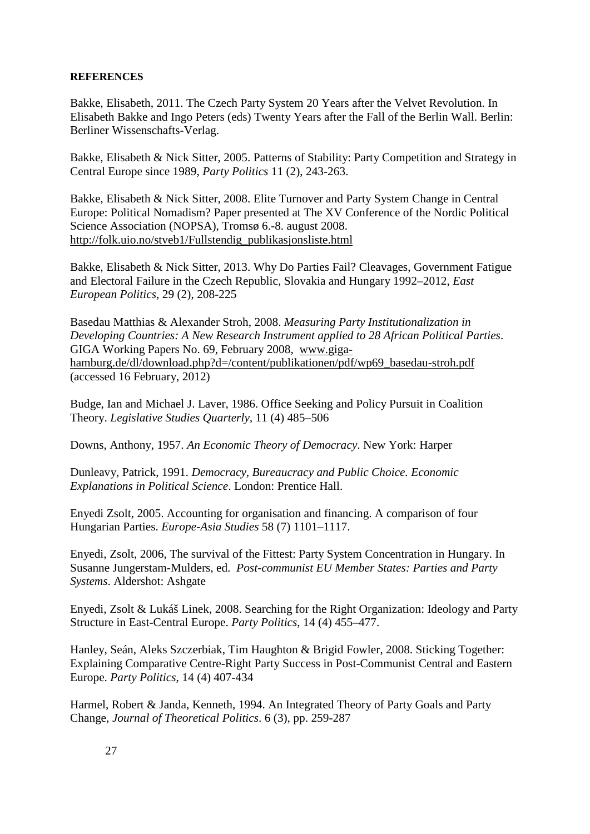#### **REFERENCES**

Bakke, Elisabeth, 2011. The Czech Party System 20 Years after the Velvet Revolution. In Elisabeth Bakke and Ingo Peters (eds) Twenty Years after the Fall of the Berlin Wall. Berlin: Berliner Wissenschafts-Verlag.

Bakke, Elisabeth & Nick Sitter, 2005. Patterns of Stability: Party Competition and Strategy in Central Europe since 1989, *Party Politics* 11 (2), 243-263.

Bakke, Elisabeth & Nick Sitter, 2008. Elite Turnover and Party System Change in Central Europe: Political Nomadism? Paper presented at The XV Conference of the Nordic Political Science Association (NOPSA), Tromsø 6.-8. august 2008. [http://folk.uio.no/stveb1/Fullstendig\\_publikasjonsliste.html](http://folk.uio.no/stveb1/Fullstendig_publikasjonsliste.html)

Bakke, Elisabeth & Nick Sitter, 2013. Why Do Parties Fail? Cleavages, Government Fatigue and Electoral Failure in the Czech Republic, Slovakia and Hungary 1992–2012, *East European Politics*, 29 (2), 208-225

Basedau Matthias & Alexander Stroh, 2008. *Measuring Party Institutionalization in Developing Countries: A New Research Instrument applied to 28 African Political Parties*. GIGA Working Papers No. 69, February 2008, [www.giga](http://www.giga-hamburg.de/dl/download.php?d=/content/publikationen/pdf/wp69_basedau-stroh.pdf)[hamburg.de/dl/download.php?d=/content/publikationen/pdf/wp69\\_basedau-stroh.pdf](http://www.giga-hamburg.de/dl/download.php?d=/content/publikationen/pdf/wp69_basedau-stroh.pdf) (accessed 16 February, 2012)

Budge, Ian and Michael J. Laver, 1986. Office Seeking and Policy Pursuit in Coalition Theory. *Legislative Studies Quarterly,* 11 (4) 485–506

Downs, Anthony, 1957. *An Economic Theory of Democracy*. New York: Harper

Dunleavy, Patrick, 1991. *Democracy, Bureaucracy and Public Choice. Economic Explanations in Political Science*. London: Prentice Hall.

Enyedi Zsolt, 2005. Accounting for organisation and financing. A comparison of four Hungarian Parties. *Europe-Asia Studies* 58 (7) 1101–1117.

Enyedi, Zsolt, 2006, The survival of the Fittest: Party System Concentration in Hungary. In Susanne Jungerstam-Mulders, ed. *Post-communist EU Member States: Parties and Party Systems*. Aldershot: Ashgate

Enyedi, Zsolt & Lukáš Linek, 2008. Searching for the Right Organization: Ideology and Party Structure in East-Central Europe. *Party Politics*, 14 (4) 455–477.

Hanley, Seán, Aleks Szczerbiak, Tim Haughton & Brigid Fowler, 2008. Sticking Together: Explaining Comparative Centre-Right Party Success in Post-Communist Central and Eastern Europe. *Party Politics*, 14 (4) 407-434

Harmel, Robert & Janda, Kenneth, 1994. An Integrated Theory of Party Goals and Party Change, *Journal of Theoretical Politics*. 6 (3), pp. 259-287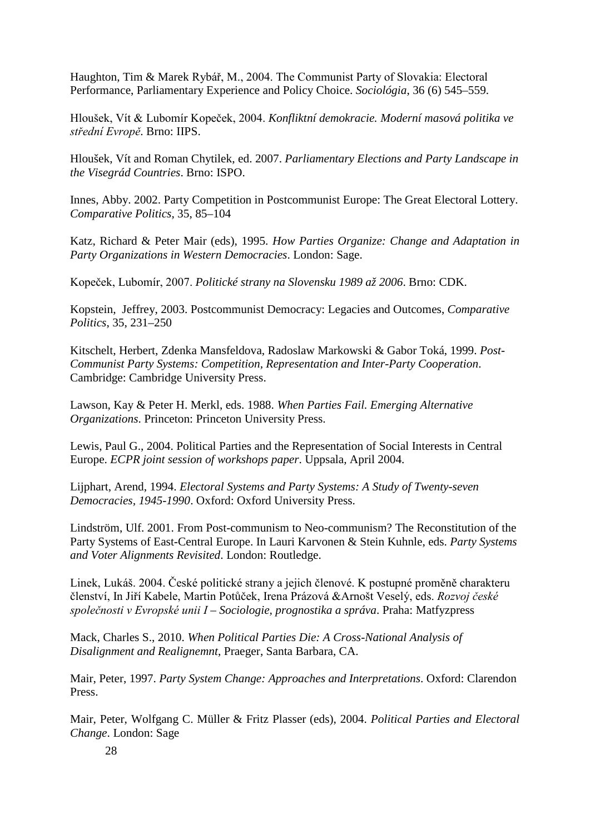Haughton, Tim & Marek Rybář, M., 2004. The Communist Party of Slovakia: Electoral Performance, Parliamentary Experience and Policy Choice. *Sociológia*, 36 (6) 545–559.

Hloušek, Vít & Lubomír Kopeček, 2004. *Konfliktní demokracie. Moderní masová politika ve střední Evropě*. Brno: IIPS.

Hloušek, Vít and Roman Chytilek, ed. 2007. *Parliamentary Elections and Party Landscape in the Visegrád Countries*. Brno: ISPO.

Innes, Abby. 2002. Party Competition in Postcommunist Europe: The Great Electoral Lottery. *Comparative Politics*, 35, 85–104

Katz, Richard & Peter Mair (eds), 1995. *How Parties Organize: Change and Adaptation in Party Organizations in Western Democracies*. London: Sage.

Kopeček, Lubomír, 2007. *Politické strany na Slovensku 1989 až 2006*. Brno: CDK.

Kopstein, Jeffrey, 2003. Postcommunist Democracy: Legacies and Outcomes, *Comparative Politics*, 35, 231–250

Kitschelt, Herbert, Zdenka Mansfeldova, Radoslaw Markowski & Gabor Toká, 1999. *Post-Communist Party Systems: Competition, Representation and Inter-Party Cooperation*. Cambridge: Cambridge University Press.

Lawson, Kay & Peter H. Merkl, eds. 1988. *When Parties Fail. Emerging Alternative Organizations*. Princeton: Princeton University Press.

Lewis, Paul G., 2004. Political Parties and the Representation of Social Interests in Central Europe. *ECPR joint session of workshops paper*. Uppsala, April 2004.

Lijphart, Arend, 1994. *Electoral Systems and Party Systems: A Study of Twenty-seven Democracies, 1945-1990*. Oxford: Oxford University Press.

Lindström, Ulf. 2001. From Post-communism to Neo-communism? The Reconstitution of the Party Systems of East-Central Europe. In Lauri Karvonen & Stein Kuhnle, eds. *Party Systems and Voter Alignments Revisited*. London: Routledge.

Linek, Lukáš. 2004. České politické strany a jejich členové. K postupné proměně charakteru členství, In Jiří Kabele, Martin Potůček, Irena Prázová &Arnošt Veselý, eds. *Rozvoj české společnosti v Evropské unii I – Sociologie, prognostika a správa*. Praha: Matfyzpress

Mack, Charles S., 2010. *When Political Parties Die: A Cross-National Analysis of Disalignment and Realignemnt*, Praeger, Santa Barbara, CA.

Mair, Peter, 1997. *Party System Change: Approaches and Interpretations*. Oxford: Clarendon Press.

Mair, Peter, Wolfgang C. Müller & Fritz Plasser (eds), 2004. *Political Parties and Electoral Change*. London: Sage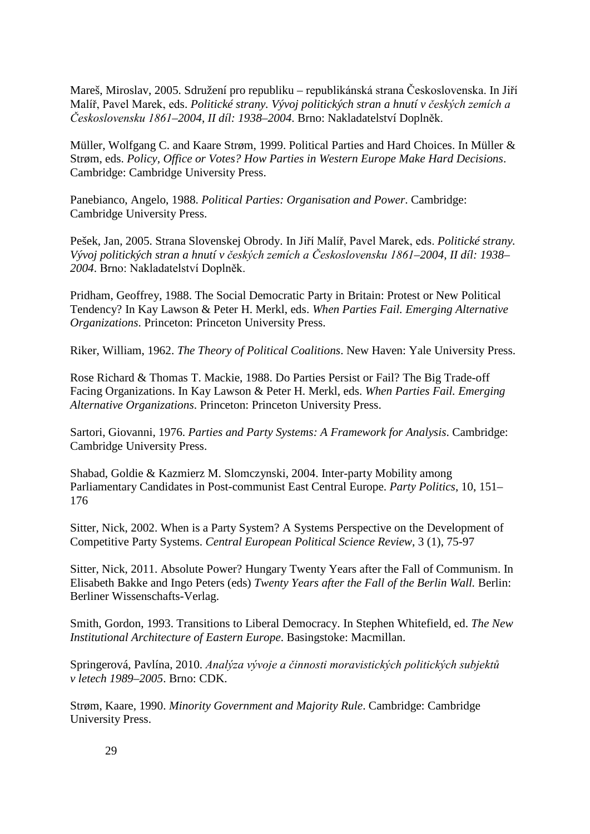Mareš, Miroslav, 2005. Sdružení pro republiku – republikánská strana Československa. In Jiří Malíř, Pavel Marek, eds. *Politické strany. Vývoj politických stran a hnutí v českých zemích a Československu 1861–2004*, *II díl: 1938–2004*. Brno: Nakladatelství Doplněk.

Müller, Wolfgang C. and Kaare Strøm, 1999. Political Parties and Hard Choices. In Müller & Strøm, eds. *Policy, Office or Votes? How Parties in Western Europe Make Hard Decisions*. Cambridge: Cambridge University Press.

Panebianco, Angelo, 1988. *Political Parties: Organisation and Power*. Cambridge: Cambridge University Press.

Pešek, Jan, 2005. Strana Slovenskej Obrody. In Jiří Malíř, Pavel Marek, eds. *Politické strany. Vývoj politických stran a hnutí v českých zemích a Československu 1861–2004*, *II díl: 1938– 2004*. Brno: Nakladatelství Doplněk.

Pridham, Geoffrey, 1988. The Social Democratic Party in Britain: Protest or New Political Tendency? In Kay Lawson & Peter H. Merkl, eds. *When Parties Fail. Emerging Alternative Organizations*. Princeton: Princeton University Press.

Riker, William, 1962. *The Theory of Political Coalitions*. New Haven: Yale University Press.

Rose Richard & Thomas T. Mackie, 1988. Do Parties Persist or Fail? The Big Trade-off Facing Organizations. In Kay Lawson & Peter H. Merkl, eds. *When Parties Fail. Emerging Alternative Organizations*. Princeton: Princeton University Press.

Sartori, Giovanni, 1976. *Parties and Party Systems: A Framework for Analysis*. Cambridge: Cambridge University Press.

Shabad, Goldie & Kazmierz M. Slomczynski, 2004. Inter-party Mobility among Parliamentary Candidates in Post-communist East Central Europe. *Party Politics*, 10, 151– 176

Sitter, Nick, 2002. When is a Party System? A Systems Perspective on the Development of Competitive Party Systems. *Central European Political Science Review*, 3 (1), 75-97

Sitter, Nick, 2011. Absolute Power? Hungary Twenty Years after the Fall of Communism. In Elisabeth Bakke and Ingo Peters (eds) *Twenty Years after the Fall of the Berlin Wall.* Berlin: Berliner Wissenschafts-Verlag.

Smith, Gordon, 1993. Transitions to Liberal Democracy. In Stephen Whitefield, ed. *The New Institutional Architecture of Eastern Europe*. Basingstoke: Macmillan.

Springerová, Pavlína, 2010. *Analýza vývoje a činnosti moravistických politických subjektů v letech 1989–2005*. Brno: CDK.

Strøm, Kaare, 1990. *Minority Government and Majority Rule*. Cambridge: Cambridge University Press.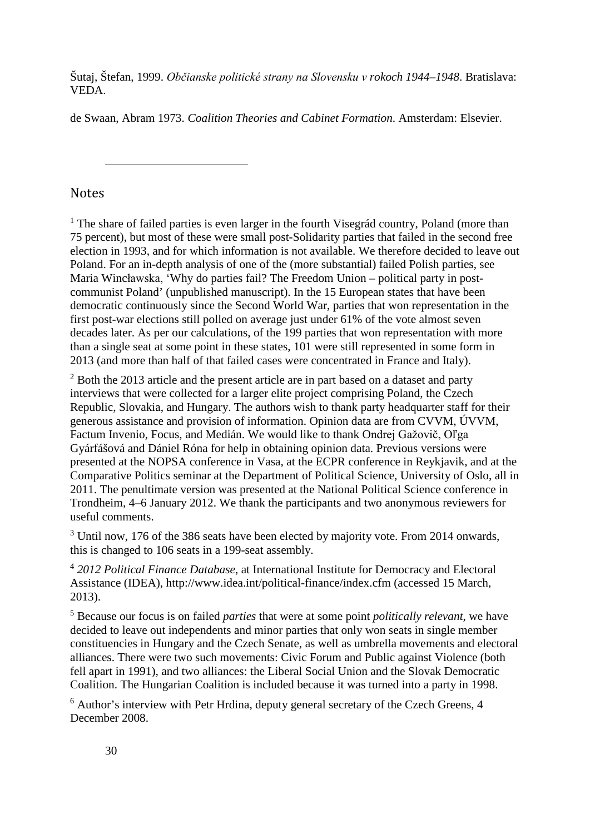Šutaj, Štefan, 1999. *Občianske politické strany na Slovensku v rokoch 1944–1948*. Bratislava: VEDA.

de Swaan, Abram 1973. *Coalition Theories and Cabinet Formation*. Amsterdam: Elsevier.

## <span id="page-30-0"></span>**Notes**

-

 $<sup>1</sup>$  The share of failed parties is even larger in the fourth Visegrád country, Poland (more than</sup> 75 percent), but most of these were small post-Solidarity parties that failed in the second free election in 1993, and for which information is not available. We therefore decided to leave out Poland. For an in-depth analysis of one of the (more substantial) failed Polish parties, see Maria Wincławska, 'Why do parties fail? The Freedom Union – political party in postcommunist Poland' (unpublished manuscript). In the 15 European states that have been democratic continuously since the Second World War, parties that won representation in the first post-war elections still polled on average just under 61% of the vote almost seven decades later. As per our calculations, of the 199 parties that won representation with more than a single seat at some point in these states, 101 were still represented in some form in 2013 (and more than half of that failed cases were concentrated in France and Italy).

<span id="page-30-1"></span> $2$  Both the 2013 article and the present article are in part based on a dataset and party interviews that were collected for a larger elite project comprising Poland, the Czech Republic, Slovakia, and Hungary. The authors wish to thank party headquarter staff for their generous assistance and provision of information. Opinion data are from CVVM, ÚVVM, Factum Invenio, Focus, and Medián. We would like to thank Ondrej Gažovič, Oľga Gyárfášová and Dániel Róna for help in obtaining opinion data. Previous versions were presented at the NOPSA conference in Vasa, at the ECPR conference in Reykjavik, and at the Comparative Politics seminar at the Department of Political Science, University of Oslo, all in 2011. The penultimate version was presented at the National Political Science conference in Trondheim, 4–6 January 2012. We thank the participants and two anonymous reviewers for useful comments.

<sup>3</sup> Until now, 176 of the 386 seats have been elected by majority vote. From 2014 onwards, this is changed to 106 seats in a 199-seat assembly.

<sup>4</sup> *2012 Political Finance Database*, at International Institute for Democracy and Electoral Assistance (IDEA), http://www.idea.int/political-finance/index.cfm (accessed 15 March, 2013).

<sup>5</sup> Because our focus is on failed *parties* that were at some point *politically relevant*, we have decided to leave out independents and minor parties that only won seats in single member constituencies in Hungary and the Czech Senate, as well as umbrella movements and electoral alliances. There were two such movements: Civic Forum and Public against Violence (both fell apart in 1991), and two alliances: the Liberal Social Union and the Slovak Democratic Coalition. The Hungarian Coalition is included because it was turned into a party in 1998.

<sup>6</sup> Author's interview with Petr Hrdina, deputy general secretary of the Czech Greens, 4 December 2008.